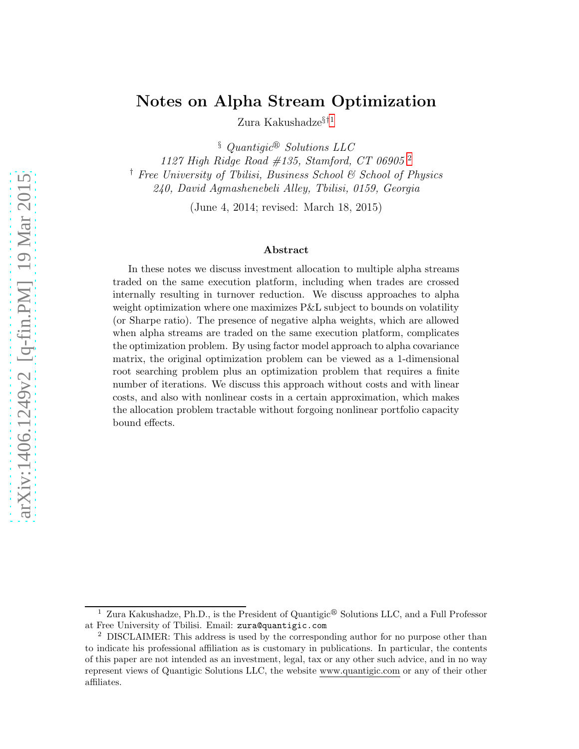## Notes on Alpha Stream Optimization

Zura Kakushadze<br/> $\mathbf{F}^{11}$  $\mathbf{F}^{11}$  $\mathbf{F}^{11}$ 

 $§$  Quantiqic<sup>®</sup> Solutions LLC

1127 High Ridge Road #135, Stamford, CT 06905 [2](#page-0-1) † Free University of Tbilisi, Business School & School of Physics 240, David Agmashenebeli Alley, Tbilisi, 0159, Georgia

(June 4, 2014; revised: March 18, 2015)

#### Abstract

In these notes we discuss investment allocation to multiple alpha streams traded on the same execution platform, including when trades are crossed internally resulting in turnover reduction. We discuss approaches to alpha weight optimization where one maximizes P&L subject to bounds on volatility (or Sharpe ratio). The presence of negative alpha weights, which are allowed when alpha streams are traded on the same execution platform, complicates the optimization problem. By using factor model approach to alpha covariance matrix, the original optimization problem can be viewed as a 1-dimensional root searching problem plus an optimization problem that requires a finite number of iterations. We discuss this approach without costs and with linear costs, and also with nonlinear costs in a certain approximation, which makes the allocation problem tractable without forgoing nonlinear portfolio capacity bound effects.

<span id="page-0-0"></span><sup>&</sup>lt;sup>1</sup> Zura Kakushadze, Ph.D., is the President of Quantigic<sup>®</sup> Solutions LLC, and a Full Professor at Free University of Tbilisi. Email: zura@quantigic.com

<span id="page-0-1"></span><sup>2</sup> DISCLAIMER: This address is used by the corresponding author for no purpose other than to indicate his professional affiliation as is customary in publications. In particular, the contents of this paper are not intended as an investment, legal, tax or any other such advice, and in no way represent views of Quantigic Solutions LLC, the website www.quantigic.com or any of their other affiliates.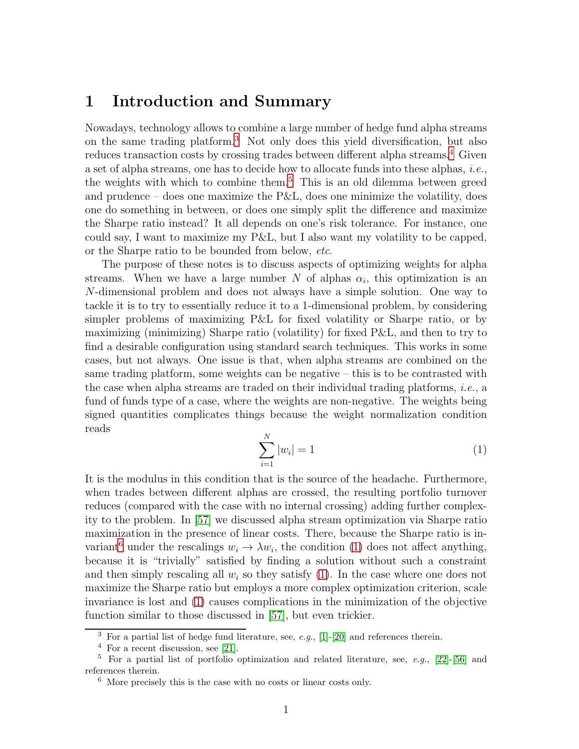## 1 Introduction and Summary

Nowadays, technology allows to combine a large number of hedge fund alpha streams on the same trading platform.[3](#page-1-0) Not only does this yield diversification, but also reduces transaction costs by crossing trades between different alpha streams.<sup>[4](#page-1-1)</sup> Given a set of alpha streams, one has to decide how to allocate funds into these alphas, i.e., the weights with which to combine them.<sup>[5](#page-1-2)</sup> This is an old dilemma between greed and prudence – does one maximize the  $P\&L$ , does one minimize the volatility, does one do something in between, or does one simply split the difference and maximize the Sharpe ratio instead? It all depends on one's risk tolerance. For instance, one could say, I want to maximize my P&L, but I also want my volatility to be capped, or the Sharpe ratio to be bounded from below, etc.

The purpose of these notes is to discuss aspects of optimizing weights for alpha streams. When we have a large number N of alphas  $\alpha_i$ , this optimization is an N-dimensional problem and does not always have a simple solution. One way to tackle it is to try to essentially reduce it to a 1-dimensional problem, by considering simpler problems of maximizing P&L for fixed volatility or Sharpe ratio, or by maximizing (minimizing) Sharpe ratio (volatility) for fixed P&L, and then to try to find a desirable configuration using standard search techniques. This works in some cases, but not always. One issue is that, when alpha streams are combined on the same trading platform, some weights can be negative – this is to be contrasted with the case when alpha streams are traded on their individual trading platforms, i.e., a fund of funds type of a case, where the weights are non-negative. The weights being signed quantities complicates things because the weight normalization condition reads

<span id="page-1-4"></span>
$$
\sum_{i=1}^{N} |w_i| = 1
$$
 (1)

It is the modulus in this condition that is the source of the headache. Furthermore, when trades between different alphas are crossed, the resulting portfolio turnover reduces (compared with the case with no internal crossing) adding further complexity to the problem. In [\[57\]](#page-41-0) we discussed alpha stream optimization via Sharpe ratio maximization in the presence of linear costs. There, because the Sharpe ratio is in-variant<sup>[6](#page-1-3)</sup> under the rescalings  $w_i \to \lambda w_i$ , the condition [\(1\)](#page-1-4) does not affect anything, because it is "trivially" satisfied by finding a solution without such a constraint and then simply rescaling all  $w_i$  so they satisfy [\(1\)](#page-1-4). In the case where one does not maximize the Sharpe ratio but employs a more complex optimization criterion, scale invariance is lost and [\(1\)](#page-1-4) causes complications in the minimization of the objective function similar to those discussed in [\[57\]](#page-41-0), but even trickier.

 $3$  For a partial list of hedge fund literature, see, e.g., [\[1\]](#page-37-0)-[\[20\]](#page-38-0) and references therein.

<span id="page-1-1"></span><span id="page-1-0"></span><sup>4</sup> For a recent discussion, see [\[21\]](#page-38-1).

<sup>&</sup>lt;sup>5</sup> For a partial list of portfolio optimization and related literature, see, e.g., [\[22\]](#page-39-0)-[\[56\]](#page-41-1) and references therein.

<span id="page-1-3"></span><span id="page-1-2"></span><sup>6</sup> More precisely this is the case with no costs or linear costs only.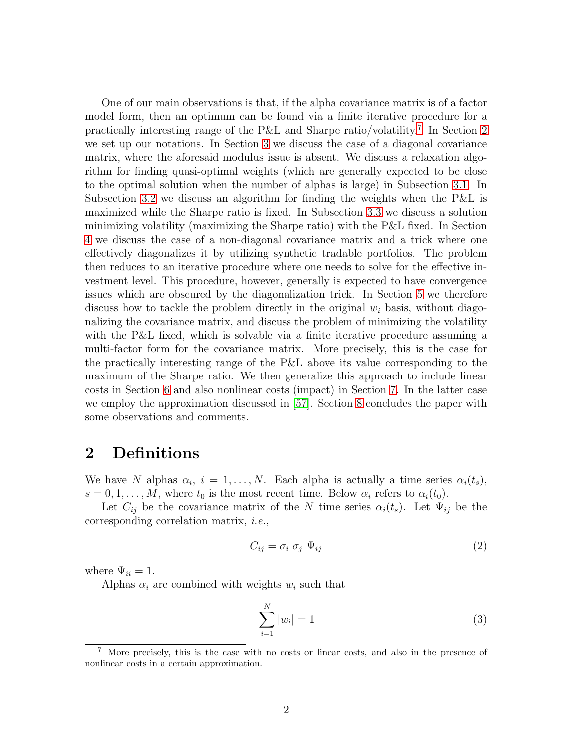One of our main observations is that, if the alpha covariance matrix is of a factor model form, then an optimum can be found via a finite iterative procedure for a practically interesting range of the P&L and Sharpe ratio/volatility.[7](#page-2-0) In Section [2](#page-2-1) we set up our notations. In Section [3](#page-3-0) we discuss the case of a diagonal covariance matrix, where the aforesaid modulus issue is absent. We discuss a relaxation algorithm for finding quasi-optimal weights (which are generally expected to be close to the optimal solution when the number of alphas is large) in Subsection [3.1.](#page-4-0) In Subsection [3.2](#page-8-0) we discuss an algorithm for finding the weights when the P&L is maximized while the Sharpe ratio is fixed. In Subsection [3.3](#page-16-0) we discuss a solution minimizing volatility (maximizing the Sharpe ratio) with the P&L fixed. In Section [4](#page-17-0) we discuss the case of a non-diagonal covariance matrix and a trick where one effectively diagonalizes it by utilizing synthetic tradable portfolios. The problem then reduces to an iterative procedure where one needs to solve for the effective investment level. This procedure, however, generally is expected to have convergence issues which are obscured by the diagonalization trick. In Section [5](#page-19-0) we therefore discuss how to tackle the problem directly in the original  $w_i$  basis, without diagonalizing the covariance matrix, and discuss the problem of minimizing the volatility with the P&L fixed, which is solvable via a finite iterative procedure assuming a multi-factor form for the covariance matrix. More precisely, this is the case for the practically interesting range of the P&L above its value corresponding to the maximum of the Sharpe ratio. We then generalize this approach to include linear costs in Section [6](#page-31-0) and also nonlinear costs (impact) in Section [7.](#page-34-0) In the latter case we employ the approximation discussed in [\[57\]](#page-41-0). Section [8](#page-36-0) concludes the paper with some observations and comments.

## <span id="page-2-1"></span>2 Definitions

We have N alphas  $\alpha_i$ ,  $i = 1, \ldots, N$ . Each alpha is actually a time series  $\alpha_i(t_s)$ ,  $s = 0, 1, \ldots, M$ , where  $t_0$  is the most recent time. Below  $\alpha_i$  refers to  $\alpha_i(t_0)$ .

Let  $C_{ij}$  be the covariance matrix of the N time series  $\alpha_i(t_s)$ . Let  $\Psi_{ij}$  be the corresponding correlation matrix, i.e.,

$$
C_{ij} = \sigma_i \ \sigma_j \ \Psi_{ij} \tag{2}
$$

where  $\Psi_{ii} = 1$ .

Alphas  $\alpha_i$  are combined with weights  $w_i$  such that

<span id="page-2-2"></span>
$$
\sum_{i=1}^{N} |w_i| = 1
$$
 (3)

<span id="page-2-0"></span><sup>7</sup> More precisely, this is the case with no costs or linear costs, and also in the presence of nonlinear costs in a certain approximation.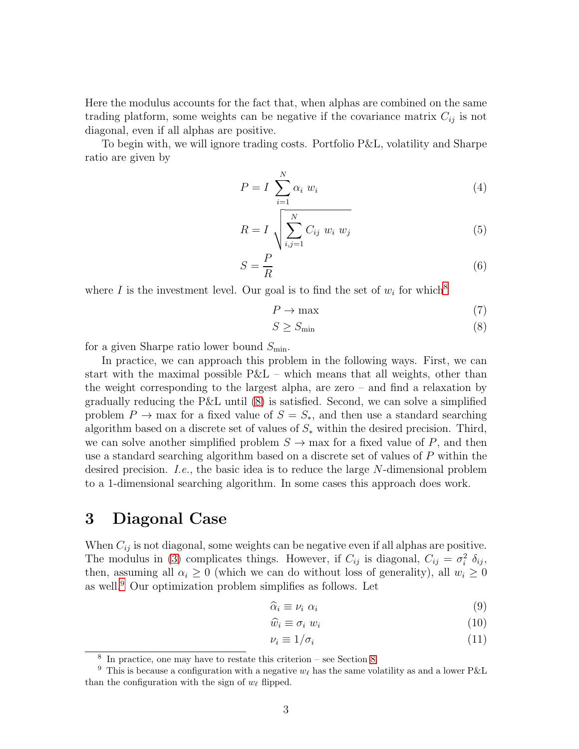Here the modulus accounts for the fact that, when alphas are combined on the same trading platform, some weights can be negative if the covariance matrix  $C_{ij}$  is not diagonal, even if all alphas are positive.

To begin with, we will ignore trading costs. Portfolio P&L, volatility and Sharpe ratio are given by

$$
P = I \sum_{i=1}^{N} \alpha_i w_i \tag{4}
$$

$$
R = I \sqrt{\sum_{i,j=1}^{N} C_{ij} w_i w_j}
$$
 (5)

$$
S = \frac{P}{R} \tag{6}
$$

where I is the investment level. Our goal is to find the set of  $w_i$  for which<sup>[8](#page-3-1)</sup>

<span id="page-3-2"></span>
$$
P \to \max \tag{7}
$$

$$
S \ge S_{\min} \tag{8}
$$

for a given Sharpe ratio lower bound  $S_{\text{min}}$ .

In practice, we can approach this problem in the following ways. First, we can start with the maximal possible  $P&L$  – which means that all weights, other than the weight corresponding to the largest alpha, are zero – and find a relaxation by gradually reducing the  $P\&L$  until  $(8)$  is satisfied. Second, we can solve a simplified problem  $P \to$  max for a fixed value of  $S = S_{\ast}$ , and then use a standard searching algorithm based on a discrete set of values of  $S_*$  within the desired precision. Third, we can solve another simplified problem  $S \to$  max for a fixed value of P, and then use a standard searching algorithm based on a discrete set of values of  $P$  within the desired precision. I.e., the basic idea is to reduce the large N-dimensional problem to a 1-dimensional searching algorithm. In some cases this approach does work.

## <span id="page-3-0"></span>3 Diagonal Case

When  $C_{ij}$  is not diagonal, some weights can be negative even if all alphas are positive. The modulus in [\(3\)](#page-2-2) complicates things. However, if  $C_{ij}$  is diagonal,  $C_{ij} = \sigma_i^2 \delta_{ij}$ , then, assuming all  $\alpha_i \geq 0$  (which we can do without loss of generality), all  $w_i \geq 0$ as well.[9](#page-3-3) Our optimization problem simplifies as follows. Let

<span id="page-3-4"></span>
$$
\widehat{\alpha}_i \equiv \nu_i \, \, \alpha_i \tag{9}
$$

$$
\widehat{w}_i \equiv \sigma_i \ w_i \tag{10}
$$

$$
\nu_i \equiv 1/\sigma_i \tag{11}
$$

<span id="page-3-1"></span><sup>8</sup> In practice, one may have to restate this criterion – see Section [8.](#page-36-0)

<span id="page-3-3"></span><sup>&</sup>lt;sup>9</sup> This is because a configuration with a negative  $w_{\ell}$  has the same volatility as and a lower P&L than the configuration with the sign of  $w_{\ell}$  flipped.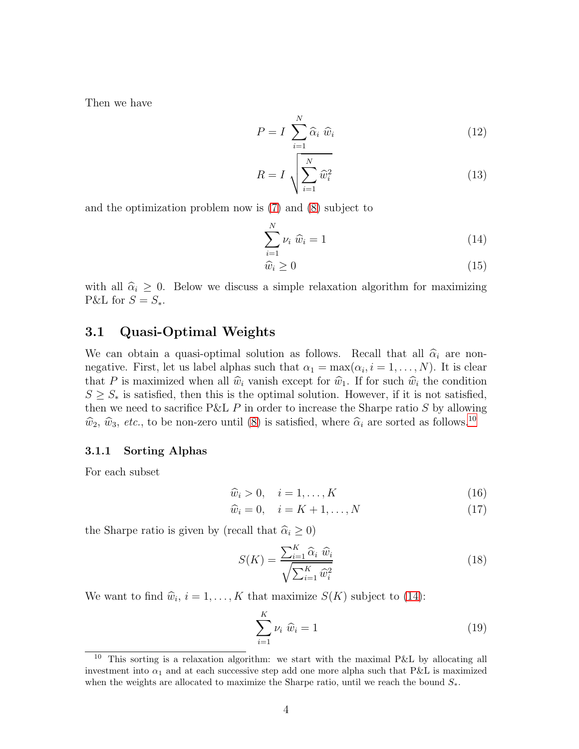Then we have

<span id="page-4-4"></span>
$$
P = I \sum_{i=1}^{N} \widehat{\alpha}_i \widehat{w}_i
$$
 (12)

$$
R = I \sqrt{\sum_{i=1}^{N} \widehat{w}_i^2}
$$
 (13)

and the optimization problem now is [\(7\)](#page-3-2) and [\(8\)](#page-3-2) subject to

<span id="page-4-2"></span>
$$
\sum_{i=1}^{N} \nu_i \widehat{w}_i = 1 \tag{14}
$$

$$
\widehat{w}_i \ge 0 \tag{15}
$$

with all  $\hat{\alpha}_i \geq 0$ . Below we discuss a simple relaxation algorithm for maximizing P&L for  $S = S_*$ .

### <span id="page-4-0"></span>3.1 Quasi-Optimal Weights

We can obtain a quasi-optimal solution as follows. Recall that all  $\hat{\alpha}_i$  are nonnegative. First, let us label alphas such that  $\alpha_1 = \max(\alpha_i, i = 1, \ldots, N)$ . It is clear that P is maximized when all  $\hat{w}_i$  vanish except for  $\hat{w}_1$ . If for such  $\hat{w}_i$  the condition  $S \geq S_*$  is satisfied, then this is the optimal solution. However, if it is not satisfied, then we need to sacrifice P&L  $P$  in order to increase the Sharpe ratio  $S$  by allowing  $\hat{w}_2$ ,  $\hat{w}_3$ , etc., to be non-zero until [\(8\)](#page-3-2) is satisfied, where  $\hat{\alpha}_i$  are sorted as follows.<sup>[10](#page-4-1)</sup>

#### 3.1.1 Sorting Alphas

For each subset

$$
\widehat{w}_i > 0, \quad i = 1, \dots, K \tag{16}
$$

$$
\widehat{w}_i = 0, \quad i = K + 1, \dots, N \tag{17}
$$

the Sharpe ratio is given by (recall that  $\hat{\alpha}_i \geq 0$ )

$$
S(K) = \frac{\sum_{i=1}^{K} \widehat{\alpha}_i \ \widehat{w}_i}{\sqrt{\sum_{i=1}^{K} \widehat{w}_i^2}}
$$
(18)

We want to find  $\hat{w}_i$ ,  $i = 1, ..., K$  that maximize  $S(K)$  subject to [\(14\)](#page-4-2):

<span id="page-4-3"></span>
$$
\sum_{i=1}^{K} \nu_i \widehat{w}_i = 1 \tag{19}
$$

<span id="page-4-1"></span><sup>10</sup> This sorting is a relaxation algorithm: we start with the maximal P&L by allocating all investment into  $\alpha_1$  and at each successive step add one more alpha such that P&L is maximized when the weights are allocated to maximize the Sharpe ratio, until we reach the bound  $S_{*}$ .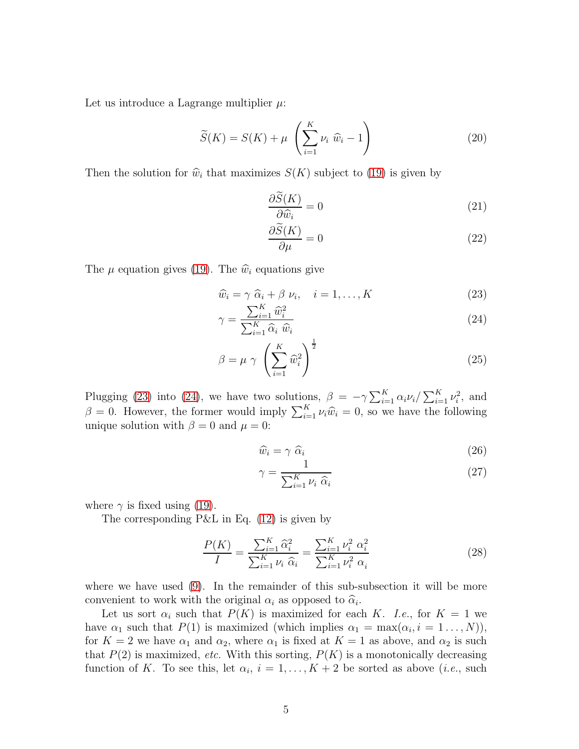Let us introduce a Lagrange multiplier  $\mu$ :

$$
\widetilde{S}(K) = S(K) + \mu \left( \sum_{i=1}^{K} \nu_i \ \widehat{w}_i - 1 \right) \tag{20}
$$

Then the solution for  $\hat{w}_i$  that maximizes  $S(K)$  subject to [\(19\)](#page-4-3) is given by

$$
\frac{\partial S(K)}{\partial \widehat{w}_i} = 0\tag{21}
$$

$$
\frac{\partial \widetilde{S}(K)}{\partial \mu} = 0 \tag{22}
$$

The  $\mu$  equation gives [\(19\)](#page-4-3). The  $\hat{w}_i$  equations give

<span id="page-5-0"></span>
$$
\widehat{w}_i = \gamma \ \widehat{\alpha}_i + \beta \ \nu_i, \quad i = 1, \dots, K \tag{23}
$$

$$
\gamma = \frac{\sum_{i=1}^{K} \hat{w}_i^2}{\sum_{i=1}^{K} \hat{\alpha}_i \hat{w}_i}
$$
\n(24)

$$
\beta = \mu \gamma \left(\sum_{i=1}^{K} \widehat{w}_i^2\right)^{\frac{1}{2}}
$$
\n(25)

Plugging [\(23\)](#page-5-0) into [\(24\)](#page-5-0), we have two solutions,  $\beta = -\gamma \sum_{i=1}^{K} \alpha_i \nu_i / \sum_{i=1}^{K} \nu_i^2$ , and  $\beta = 0$ . However, the former would imply  $\sum_{i=1}^{K} \nu_i \hat{w}_i = 0$ , so we have the following unique solution with  $\beta = 0$  and  $\mu = 0$ :

$$
\widehat{w}_i = \gamma \ \widehat{\alpha}_i \tag{26}
$$

$$
\gamma = \frac{1}{\sum_{i=1}^{K} \nu_i \ \hat{\alpha}_i} \tag{27}
$$

where  $\gamma$  is fixed using [\(19\)](#page-4-3).

The corresponding P&L in Eq. [\(12\)](#page-4-4) is given by

$$
\frac{P(K)}{I} = \frac{\sum_{i=1}^{K} \hat{\alpha}_i^2}{\sum_{i=1}^{K} \nu_i \hat{\alpha}_i} = \frac{\sum_{i=1}^{K} \nu_i^2 \alpha_i^2}{\sum_{i=1}^{K} \nu_i^2 \alpha_i}
$$
(28)

where we have used [\(9\)](#page-3-4). In the remainder of this sub-subsection it will be more convenient to work with the original  $\alpha_i$  as opposed to  $\hat{\alpha}_i$ .<br>
I at us set a such that  $P(K)$  is maximized for said

Let us sort  $\alpha_i$  such that  $P(K)$  is maximized for each K. I.e., for  $K = 1$  we have  $\alpha_1$  such that  $P(1)$  is maximized (which implies  $\alpha_1 = \max(\alpha_i, i = 1 \dots, N)$ ), for  $K = 2$  we have  $\alpha_1$  and  $\alpha_2$ , where  $\alpha_1$  is fixed at  $K = 1$  as above, and  $\alpha_2$  is such that  $P(2)$  is maximized, etc. With this sorting,  $P(K)$  is a monotonically decreasing function of K. To see this, let  $\alpha_i$ ,  $i = 1, \ldots, K + 2$  be sorted as above (*i.e.*, such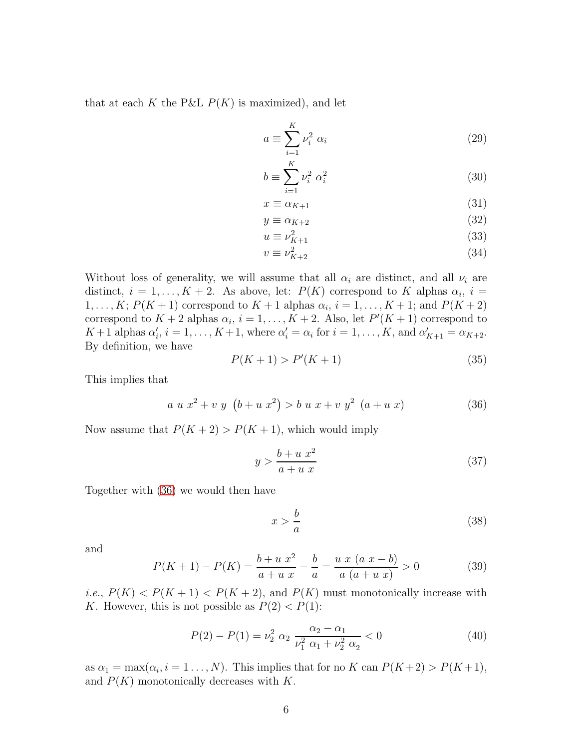that at each K the P&L  $P(K)$  is maximized), and let

$$
a \equiv \sum_{i=1}^{K} \nu_i^2 \alpha_i \tag{29}
$$

$$
b \equiv \sum_{i=1}^{K} \nu_i^2 \alpha_i^2 \tag{30}
$$

$$
x \equiv \alpha_{K+1} \tag{31}
$$

$$
y \equiv \alpha_{K+2} \tag{32}
$$

$$
u \equiv \nu_{K+1}^2 \tag{33}
$$

$$
v \equiv \nu_{K+2}^2 \tag{34}
$$

Without loss of generality, we will assume that all  $\alpha_i$  are distinct, and all  $\nu_i$  are distinct,  $i = 1, ..., K + 2$ . As above, let:  $P(K)$  correspond to K alphas  $\alpha_i$ ,  $i =$  $1, \ldots, K; P(K+1)$  correspond to  $K+1$  alphas  $\alpha_i, i = 1, \ldots, K+1;$  and  $P(K+2)$ correspond to  $K + 2$  alphas  $\alpha_i$ ,  $i = 1, ..., K + 2$ . Also, let  $P'(K + 1)$  correspond to  $K+1$  alphas  $\alpha'_i$ ,  $i=1,\ldots,K+1$ , where  $\alpha'_i=\alpha_i$  for  $i=1,\ldots,K$ , and  $\alpha'_{K+1}=\alpha_{K+2}$ . By definition, we have

$$
P(K+1) > P'(K+1)
$$
\n(35)

This implies that

<span id="page-6-0"></span>
$$
a u x2 + v y (b + u x2) > b u x + v y2 (a + u x)
$$
 (36)

Now assume that  $P(K + 2) > P(K + 1)$ , which would imply

$$
y > \frac{b+u x^2}{a+u x} \tag{37}
$$

Together with [\(36\)](#page-6-0) we would then have

$$
x > \frac{b}{a} \tag{38}
$$

and

$$
P(K+1) - P(K) = \frac{b+u x^2}{a+u x} - \frac{b}{a} = \frac{u x (a x - b)}{a (a+u x)} > 0
$$
 (39)

*i.e.*,  $P(K) < P(K + 1) < P(K + 2)$ , and  $P(K)$  must monotonically increase with K. However, this is not possible as  $P(2) < P(1)$ :

$$
P(2) - P(1) = \nu_2^2 \ \alpha_2 \ \frac{\alpha_2 - \alpha_1}{\nu_1^2 \ \alpha_1 + \nu_2^2 \ \alpha_2} < 0 \tag{40}
$$

as  $\alpha_1 = \max(\alpha_i, i = 1 \dots, N)$ . This implies that for no K can  $P(K+2) > P(K+1)$ , and  $P(K)$  monotonically decreases with K.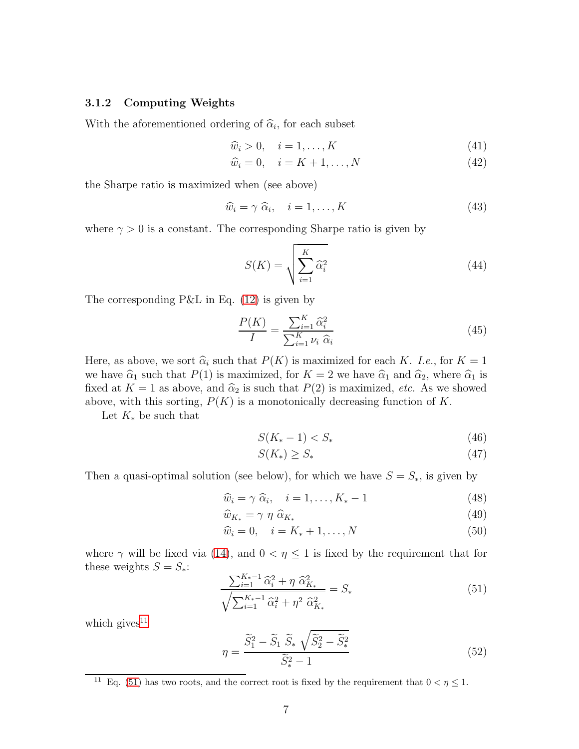#### 3.1.2 Computing Weights

With the aforementioned ordering of  $\hat{\alpha}_i$ , for each subset

$$
\widehat{w}_i > 0, \quad i = 1, \dots, K \tag{41}
$$

$$
\widehat{w}_i = 0, \quad i = K + 1, \dots, N \tag{42}
$$

the Sharpe ratio is maximized when (see above)

$$
\widehat{w}_i = \gamma \ \widehat{\alpha}_i, \quad i = 1, \dots, K \tag{43}
$$

where  $\gamma > 0$  is a constant. The corresponding Sharpe ratio is given by

$$
S(K) = \sqrt{\sum_{i=1}^{K} \hat{\alpha}_i^2}
$$
 (44)

The corresponding  $P\&L$  in Eq. [\(12\)](#page-4-4) is given by

$$
\frac{P(K)}{I} = \frac{\sum_{i=1}^{K} \widehat{\alpha}_i^2}{\sum_{i=1}^{K} \nu_i \ \widehat{\alpha}_i}
$$
(45)

Here, as above, we sort  $\hat{\alpha}_i$  such that  $P(K)$  is maximized for each K. I.e., for  $K = 1$ we have  $\hat{\alpha}_1$  such that  $P(1)$  is maximized, for  $K = 2$  we have  $\hat{\alpha}_1$  and  $\hat{\alpha}_2$ , where  $\hat{\alpha}_1$  is fixed at  $K = 1$  as above, and  $\hat{\alpha}_2$  is such that  $P(2)$  is maximized, *etc.* As we showed above, with this sorting,  $P(K)$  is a monotonically decreasing function of K.

Let  $K_*$  be such that

$$
S(K_{*}-1) < S_{*} \tag{46}
$$

$$
S(K_*) \ge S_* \tag{47}
$$

Then a quasi-optimal solution (see below), for which we have  $S = S_*$ , is given by

$$
\widehat{w}_i = \gamma \ \widehat{\alpha}_i, \quad i = 1, \dots, K_* - 1 \tag{48}
$$

$$
\widehat{w}_{K_*} = \gamma \eta \; \widehat{\alpha}_{K_*} \tag{49}
$$

$$
\widehat{w}_i = 0, \quad i = K_* + 1, \dots, N \tag{50}
$$

where  $\gamma$  will be fixed via [\(14\)](#page-4-2), and  $0 < \eta \leq 1$  is fixed by the requirement that for these weights  $S = S_*$ :

<span id="page-7-1"></span>
$$
\frac{\sum_{i=1}^{K_*-1} \hat{\alpha}_i^2 + \eta \; \hat{\alpha}_{K_*}^2}{\sqrt{\sum_{i=1}^{K_*-1} \hat{\alpha}_i^2 + \eta^2 \; \hat{\alpha}_{K_*}^2}} = S_*\tag{51}
$$

which gives<sup>[11](#page-7-0)</sup>

$$
\eta = \frac{\widetilde{S}_1^2 - \widetilde{S}_1 \ \widetilde{S}_* \ \sqrt{\widetilde{S}_2^2 - \widetilde{S}_*^2}}{\widetilde{S}_*^2 - 1} \tag{52}
$$

<span id="page-7-0"></span><sup>&</sup>lt;sup>11</sup> Eq. [\(51\)](#page-7-1) has two roots, and the correct root is fixed by the requirement that  $0 < \eta \leq 1$ .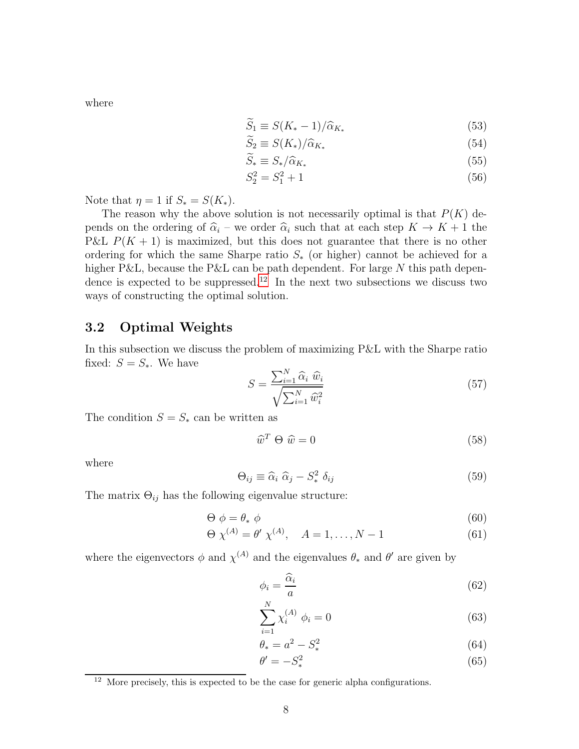where

$$
\widetilde{S}_1 \equiv S(K_* - 1) / \widehat{\alpha}_{K_*} \tag{53}
$$

$$
\widetilde{S}_2 \equiv S(K_*)/\widehat{\alpha}_{K_*} \tag{54}
$$

$$
\widetilde{S}_* \equiv S_* / \widehat{\alpha}_{K_*} \tag{55}
$$

$$
S_2^2 = S_1^2 + 1\tag{56}
$$

Note that  $\eta = 1$  if  $S_* = S(K_*)$ .

The reason why the above solution is not necessarily optimal is that  $P(K)$  depends on the ordering of  $\hat{\alpha}_i$  – we order  $\hat{\alpha}_i$  such that at each step  $K \to K + 1$  the P&L  $P(K + 1)$  is maximized, but this does not guarantee that there is no other ordering for which the same Sharpe ratio  $S_{\ast}$  (or higher) cannot be achieved for a higher P&L, because the P&L can be path dependent. For large  $N$  this path depen-dence is expected to be suppressed.<sup>[12](#page-8-1)</sup> In the next two subsections we discuss two ways of constructing the optimal solution.

### <span id="page-8-0"></span>3.2 Optimal Weights

In this subsection we discuss the problem of maximizing P&L with the Sharpe ratio fixed:  $S = S_*$ . We have

$$
S = \frac{\sum_{i=1}^{N} \widehat{\alpha}_i \ \widehat{w}_i}{\sqrt{\sum_{i=1}^{N} \widehat{w}_i^2}}
$$
(57)

The condition  $S = S_*$  can be written as

<span id="page-8-2"></span>
$$
\widehat{w}^T \Theta \widehat{w} = 0 \tag{58}
$$

where

$$
\Theta_{ij} \equiv \widehat{\alpha}_i \ \widehat{\alpha}_j - S_*^2 \ \delta_{ij} \tag{59}
$$

The matrix  $\Theta_{ij}$  has the following eigenvalue structure:

$$
\Theta \phi = \theta_* \phi \tag{60}
$$

$$
\Theta \ \chi^{(A)} = \theta' \ \chi^{(A)}, \quad A = 1, \dots, N - 1 \tag{61}
$$

where the eigenvectors  $\phi$  and  $\chi^{(A)}$  and the eigenvalues  $\theta_*$  and  $\theta'$  are given by

$$
\phi_i = \frac{\widehat{\alpha}_i}{a} \tag{62}
$$

$$
\sum_{i=1}^{N} \chi_i^{(A)} \phi_i = 0 \tag{63}
$$

$$
\theta_* = a^2 - S_*^2 \tag{64}
$$

$$
\theta' = -S_*^2\tag{65}
$$

<span id="page-8-1"></span> $12$  More precisely, this is expected to be the case for generic alpha configurations.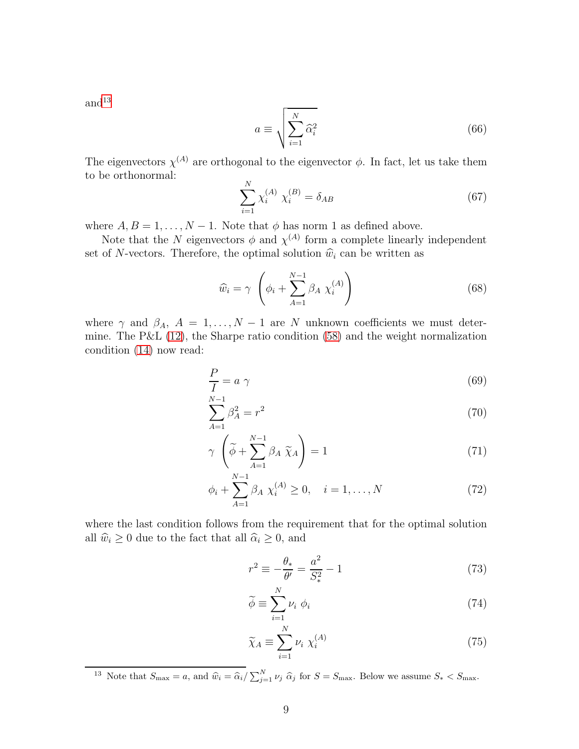and  $^{13}$  $^{13}$  $^{13}$ 

$$
a \equiv \sqrt{\sum_{i=1}^{N} \hat{\alpha}_i^2}
$$
 (66)

The eigenvectors  $\chi^{(A)}$  are orthogonal to the eigenvector  $\phi$ . In fact, let us take them to be orthonormal:  $\mathbf{v}$ 

$$
\sum_{i=1}^{N} \chi_i^{(A)} \chi_i^{(B)} = \delta_{AB} \tag{67}
$$

where  $A, B = 1, \ldots, N - 1$ . Note that  $\phi$  has norm 1 as defined above.

Note that the N eigenvectors  $\phi$  and  $\chi^{(A)}$  form a complete linearly independent set of N-vectors. Therefore, the optimal solution  $\widehat{w}_i$  can be written as

$$
\widehat{w}_i = \gamma \left( \phi_i + \sum_{A=1}^{N-1} \beta_A \ \chi_i^{(A)} \right) \tag{68}
$$

where  $\gamma$  and  $\beta_A$ ,  $A = 1, \ldots, N-1$  are N unknown coefficients we must determine. The P&L [\(12\)](#page-4-4), the Sharpe ratio condition [\(58\)](#page-8-2) and the weight normalization condition [\(14\)](#page-4-2) now read:

<span id="page-9-1"></span>
$$
\frac{P}{I} = a \gamma \tag{69}
$$

$$
\sum_{A=1}^{N-1} \beta_A^2 = r^2 \tag{70}
$$

$$
\gamma \left( \tilde{\phi} + \sum_{A=1}^{N-1} \beta_A \ \tilde{\chi}_A \right) = 1 \tag{71}
$$

$$
\phi_i + \sum_{A=1}^{N-1} \beta_A \chi_i^{(A)} \ge 0, \quad i = 1, ..., N
$$
 (72)

where the last condition follows from the requirement that for the optimal solution all  $\widehat{w}_i \ge 0$  due to the fact that all  $\widehat{\alpha}_i \ge 0$ , and

$$
r^{2} \equiv -\frac{\theta_{*}}{\theta'} = \frac{a^{2}}{S_{*}^{2}} - 1
$$
\n(73)

$$
\widetilde{\phi} \equiv \sum_{i=1}^{N} \nu_i \, \phi_i \tag{74}
$$

$$
\widetilde{\chi}_A \equiv \sum_{i=1}^N \nu_i \; \chi_i^{(A)} \tag{75}
$$

<span id="page-9-0"></span><sup>13</sup> Note that  $S_{\text{max}} = a$ , and  $\hat{w}_i = \hat{\alpha}_i / \sum_{j=1}^N \nu_j \hat{\alpha}_j$  for  $S = S_{\text{max}}$ . Below we assume  $S_* < S_{\text{max}}$ .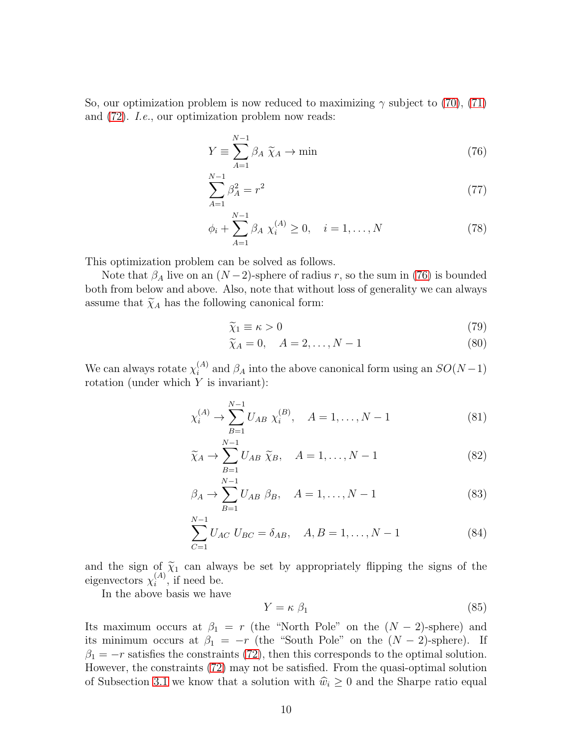So, our optimization problem is now reduced to maximizing  $\gamma$  subject to [\(70\)](#page-9-1), [\(71\)](#page-9-1) and [\(72\)](#page-9-1). I.e., our optimization problem now reads:

<span id="page-10-0"></span>
$$
Y \equiv \sum_{A=1}^{N-1} \beta_A \ \widetilde{\chi}_A \to \min \tag{76}
$$

$$
\sum_{A=1}^{N-1} \beta_A^2 = r^2 \tag{77}
$$

$$
\phi_i + \sum_{A=1}^{N-1} \beta_A \chi_i^{(A)} \ge 0, \quad i = 1, ..., N
$$
 (78)

This optimization problem can be solved as follows.

Note that  $\beta_A$  live on an  $(N-2)$ -sphere of radius r, so the sum in [\(76\)](#page-10-0) is bounded both from below and above. Also, note that without loss of generality we can always assume that  $\widetilde{\chi}_A$  has the following canonical form:

<span id="page-10-1"></span>
$$
\widetilde{\chi}_1 \equiv \kappa > 0\tag{79}
$$

$$
\widetilde{\chi}_A = 0, \quad A = 2, \dots, N - 1 \tag{80}
$$

We can always rotate  $\chi_i^{(A)}$ <sup>(A)</sup> and  $\beta_A$  into the above canonical form using an  $SO(N-1)$ rotation (under which Y is invariant):

$$
\chi_i^{(A)} \to \sum_{B=1}^{N-1} U_{AB} \; \chi_i^{(B)}, \quad A = 1, \dots, N-1 \tag{81}
$$

$$
\widetilde{\chi}_A \to \sum_{B=1}^{N-1} U_{AB} \ \widetilde{\chi}_B, \quad A = 1, \dots, N-1 \tag{82}
$$

$$
\beta_A \to \sum_{B=1}^{N-1} U_{AB} \; \beta_B, \quad A = 1, \dots, N-1 \tag{83}
$$

$$
\sum_{C=1}^{N-1} U_{AC} U_{BC} = \delta_{AB}, \quad A, B = 1, \dots, N-1
$$
 (84)

and the sign of  $\tilde{\chi}_1$  can always be set by appropriately flipping the signs of the eigenvectors  $\chi_i^{(A)}$ , if need be.  $i^{(A)}$ , if need be.

In the above basis we have

$$
Y = \kappa \beta_1 \tag{85}
$$

Its maximum occurs at  $\beta_1 = r$  (the "North Pole" on the  $(N-2)$ -sphere) and its minimum occurs at  $\beta_1 = -r$  (the "South Pole" on the  $(N-2)$ -sphere). If  $\beta_1 = -r$  satisfies the constraints [\(72\)](#page-9-1), then this corresponds to the optimal solution. However, the constraints [\(72\)](#page-9-1) may not be satisfied. From the quasi-optimal solution of Subsection [3.1](#page-4-0) we know that a solution with  $\hat{w}_i \geq 0$  and the Sharpe ratio equal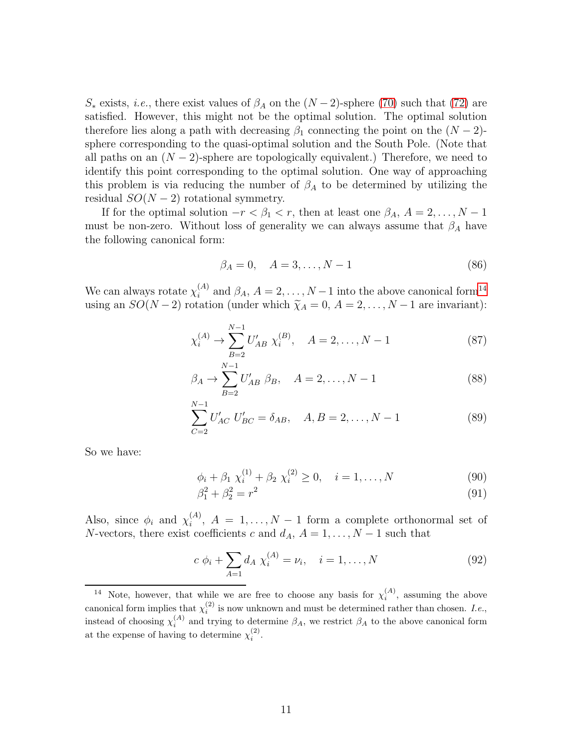S<sup>\*</sup> exists, *i.e.*, there exist values of  $\beta_A$  on the  $(N-2)$ -sphere [\(70\)](#page-9-1) such that [\(72\)](#page-9-1) are satisfied. However, this might not be the optimal solution. The optimal solution therefore lies along a path with decreasing  $\beta_1$  connecting the point on the  $(N-2)$ sphere corresponding to the quasi-optimal solution and the South Pole. (Note that all paths on an  $(N-2)$ -sphere are topologically equivalent.) Therefore, we need to identify this point corresponding to the optimal solution. One way of approaching this problem is via reducing the number of  $\beta_A$  to be determined by utilizing the residual  $SO(N-2)$  rotational symmetry.

If for the optimal solution  $-r < \beta_1 < r$ , then at least one  $\beta_A$ ,  $A = 2, \ldots, N - 1$ must be non-zero. Without loss of generality we can always assume that  $\beta_A$  have the following canonical form:

$$
\beta_A = 0, \quad A = 3, \dots, N - 1 \tag{86}
$$

We can always rotate  $\chi_i^{(A)}$  $\beta_A$ ,  $A = 2, ..., N-1$  into the above canonical form<sup>[14](#page-11-0)</sup> using an  $SO(N-2)$  rotation (under which  $\widetilde{\chi}_A = 0, A = 2, ..., N-1$  are invariant):

$$
\chi_i^{(A)} \to \sum_{B=2}^{N-1} U'_{AB} \ \chi_i^{(B)}, \quad A = 2, \dots, N-1 \tag{87}
$$

$$
\beta_A \to \sum_{B=2}^{N-1} U'_{AB} \; \beta_B, \quad A = 2, \dots, N-1 \tag{88}
$$

$$
\sum_{C=2}^{N-1} U'_{AC} U'_{BC} = \delta_{AB}, \quad A, B = 2, \dots, N-1
$$
 (89)

So we have:

$$
\phi_i + \beta_1 \chi_i^{(1)} + \beta_2 \chi_i^{(2)} \ge 0, \quad i = 1, \dots, N
$$
\n(90)

$$
\beta_1^2 + \beta_2^2 = r^2 \tag{91}
$$

Also, since  $\phi_i$  and  $\chi_i^{(A)}$  $i^{(A)}$ ,  $A = 1, ..., N - 1$  form a complete orthonormal set of N-vectors, there exist coefficients c and  $d_A$ ,  $A = 1, \ldots, N - 1$  such that

$$
c \phi_i + \sum_{A=1} d_A \chi_i^{(A)} = \nu_i, \quad i = 1, ..., N
$$
 (92)

<span id="page-11-0"></span><sup>&</sup>lt;sup>14</sup> Note, however, that while we are free to choose any basis for  $\chi_i^{(A)}$ , assuming the above canonical form implies that  $\chi_i^{(2)}$  is now unknown and must be determined rather than chosen. I.e., instead of choosing  $\chi_i^{(A)}$  and trying to determine  $\beta_A$ , we restrict  $\beta_A$  to the above canonical form at the expense of having to determine  $\chi_i^{(2)}$ .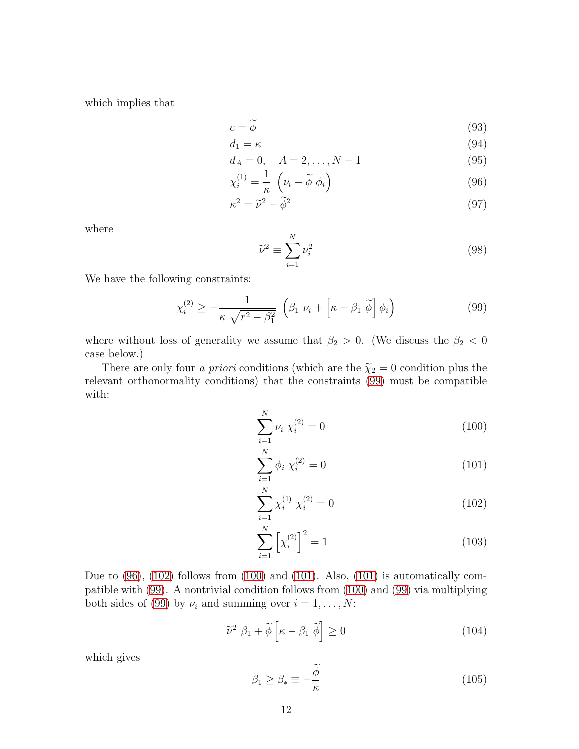which implies that

<span id="page-12-1"></span>
$$
c = \widetilde{\phi} \tag{93}
$$

$$
d_1 = \kappa \tag{94}
$$

$$
d_A = 0, \quad A = 2, \dots, N - 1 \tag{95}
$$

$$
\chi_i^{(1)} = \frac{1}{\kappa} \left( \nu_i - \widetilde{\phi} \phi_i \right) \tag{96}
$$

$$
\kappa^2 = \tilde{\nu}^2 - \tilde{\phi}^2 \tag{97}
$$

where

$$
\widetilde{\nu}^2 \equiv \sum_{i=1}^N \nu_i^2 \tag{98}
$$

We have the following constraints:

<span id="page-12-0"></span>
$$
\chi_i^{(2)} \ge -\frac{1}{\kappa \sqrt{r^2 - \beta_1^2}} \left( \beta_1 \ \nu_i + \left[ \kappa - \beta_1 \ \tilde{\phi} \right] \phi_i \right) \tag{99}
$$

where without loss of generality we assume that  $\beta_2 > 0$ . (We discuss the  $\beta_2 < 0$ case below.)

There are only four *a priori* conditions (which are the  $\tilde{\chi}_2 = 0$  condition plus the relevant orthonormality conditions) that the constraints [\(99\)](#page-12-0) must be compatible with:

<span id="page-12-2"></span>
$$
\sum_{i=1}^{N} \nu_i \chi_i^{(2)} = 0 \tag{100}
$$

$$
\sum_{i=1}^{N} \phi_i \chi_i^{(2)} = 0 \tag{101}
$$

$$
\sum_{i=1}^{N} \chi_i^{(1)} \chi_i^{(2)} = 0
$$
\n(102)

$$
\sum_{i=1}^{N} \left[ \chi_i^{(2)} \right]^2 = 1 \tag{103}
$$

Due to [\(96\)](#page-12-1), [\(102\)](#page-12-2) follows from [\(100\)](#page-12-2) and [\(101\)](#page-12-2). Also, [\(101\)](#page-12-2) is automatically compatible with [\(99\)](#page-12-0). A nontrivial condition follows from [\(100\)](#page-12-2) and [\(99\)](#page-12-0) via multiplying both sides of [\(99\)](#page-12-0) by  $\nu_i$  and summing over  $i = 1, ..., N$ :

$$
\widetilde{\nu}^2 \ \beta_1 + \widetilde{\phi} \left[ \kappa - \beta_1 \ \widetilde{\phi} \right] \ge 0 \tag{104}
$$

which gives

$$
\beta_1 \ge \beta_* \equiv -\frac{\widetilde{\phi}}{\kappa} \tag{105}
$$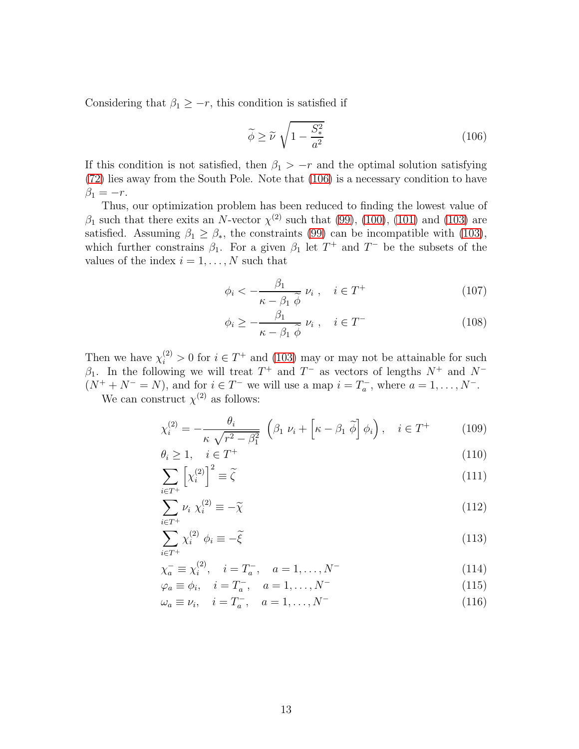Considering that  $\beta_1 \geq -r$ , this condition is satisfied if

<span id="page-13-0"></span>
$$
\widetilde{\phi} \ge \widetilde{\nu} \sqrt{1 - \frac{S_*^2}{a^2}} \tag{106}
$$

If this condition is not satisfied, then  $\beta_1 > -r$  and the optimal solution satisfying [\(72\)](#page-9-1) lies away from the South Pole. Note that [\(106\)](#page-13-0) is a necessary condition to have  $\beta_1 = -r$ .

Thus, our optimization problem has been reduced to finding the lowest value of  $\beta_1$  such that there exits an N-vector  $\chi^{(2)}$  such that [\(99\)](#page-12-0), [\(100\)](#page-12-2), [\(101\)](#page-12-2) and [\(103\)](#page-12-2) are satisfied. Assuming  $\beta_1 \geq \beta_*$ , the constraints [\(99\)](#page-12-0) can be incompatible with [\(103\)](#page-12-2), which further constrains  $\beta_1$ . For a given  $\beta_1$  let  $T^+$  and  $T^-$  be the subsets of the values of the index  $i = 1, \ldots, N$  such that

$$
\phi_i < -\frac{\beta_1}{\kappa - \beta_1 \, \widetilde{\phi}} \, \nu_i \;, \quad i \in T^+ \tag{107}
$$

$$
\phi_i \ge -\frac{\beta_1}{\kappa - \beta_1 \stackrel{\sim}{\phi}} \nu_i \;, \quad i \in T^- \tag{108}
$$

Then we have  $\chi_i^{(2)} > 0$  for  $i \in T^+$  and [\(103\)](#page-12-2) may or may not be attainable for such  $\beta_1$ . In the following we will treat  $T^+$  and  $T^-$  as vectors of lengths  $N^+$  and  $N^ (N^+ + N^- = N)$ , and for  $i \in T^-$  we will use a map  $i = T_a^-$ , where  $a = 1, \ldots, N^-$ .

We can construct  $\chi^{(2)}$  as follows:

$$
\chi_i^{(2)} = -\frac{\theta_i}{\kappa \sqrt{r^2 - \beta_1^2}} \left( \beta_1 \ \nu_i + \left[ \kappa - \beta_1 \ \widetilde{\phi} \right] \phi_i \right), \quad i \in T^+ \tag{109}
$$

$$
\theta_i \ge 1, \quad i \in T^+\tag{110}
$$

$$
\sum_{i \in T^{+}} \left[ \chi_{i}^{(2)} \right]^{2} \equiv \tilde{\zeta}
$$
\n(111)

$$
\sum_{i \in T^{+}} \nu_{i} \ \chi_{i}^{(2)} \equiv -\widetilde{\chi} \tag{112}
$$

$$
\sum_{i \in T^{+}} \chi_{i}^{(2)} \phi_{i} \equiv -\tilde{\xi}
$$
\n(113)

$$
\chi_a^- \equiv \chi_i^{(2)}, \quad i = T_a^-, \quad a = 1, \dots, N^-
$$
\n(114)

$$
\varphi_a \equiv \phi_i, \quad i = T_a^-, \quad a = 1, \dots, N^-
$$
\n(115)

$$
\omega_a \equiv \nu_i, \quad i = T_a^-, \quad a = 1, ..., N^-
$$
\n(116)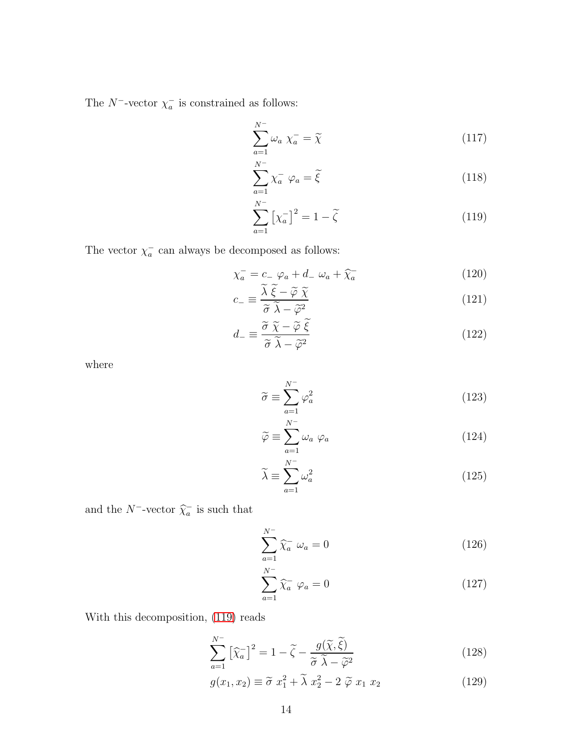The  $N^-$ -vector  $\chi_a^-$  is constrained as follows:

<span id="page-14-0"></span>
$$
\sum_{a=1}^{N^-} \omega_a \ \chi_a^- = \widetilde{\chi} \tag{117}
$$

$$
\sum_{a=1}^{N^-} \chi_a^- \varphi_a = \tilde{\xi}
$$
 (118)

$$
\sum_{a=1}^{N^{-}} \left[ \chi_{a}^{-} \right]^{2} = 1 - \tilde{\zeta}
$$
 (119)

The vector  $\chi_a^-$  can always be decomposed as follows:

$$
\chi_a^- = c_- \varphi_a + d_- \omega_a + \widehat{\chi}_a^- \tag{120}
$$

$$
c_{-} \equiv \frac{\lambda \, \xi - \widetilde{\varphi} \, \widetilde{\chi}}{\widetilde{\sigma} \, \widetilde{\lambda} - \widetilde{\varphi}^{2}} \tag{121}
$$

$$
d_{-} \equiv \frac{\tilde{\sigma} \; \tilde{\chi} - \tilde{\varphi} \; \tilde{\xi}}{\tilde{\sigma} \; \tilde{\lambda} - \tilde{\varphi}^{2}}
$$
(122)

where

$$
\widetilde{\sigma} \equiv \sum_{a=1}^{N^-} \varphi_a^2 \tag{123}
$$

$$
\widetilde{\varphi} \equiv \sum_{a=1}^{N^{-}} \omega_{a} \varphi_{a}
$$
\n(124)

$$
\widetilde{\lambda} \equiv \sum_{a=1}^{N^-} \omega_a^2 \tag{125}
$$

and the  $N^-$ -vector  $\widehat{\chi}_a^-$  is such that

$$
\sum_{a=1}^{N^{-}} \widehat{\chi}_a^{-} \omega_a = 0 \qquad (126)
$$

$$
\sum_{a=1}^{N^{-}} \widehat{\chi}_{a}^{-} \varphi_{a} = 0
$$
\n(127)

With this decomposition, [\(119\)](#page-14-0) reads

<span id="page-14-1"></span>
$$
\sum_{a=1}^{N^{-}} \left[ \widehat{\chi}_{a}^{-} \right]^{2} = 1 - \widetilde{\zeta} - \frac{g(\widetilde{\chi}, \widetilde{\xi})}{\widetilde{\sigma} \ \widetilde{\lambda} - \widetilde{\varphi}^{2}}
$$
(128)

$$
g(x_1, x_2) \equiv \tilde{\sigma} \ x_1^2 + \tilde{\lambda} \ x_2^2 - 2 \ \tilde{\varphi} \ x_1 \ x_2 \tag{129}
$$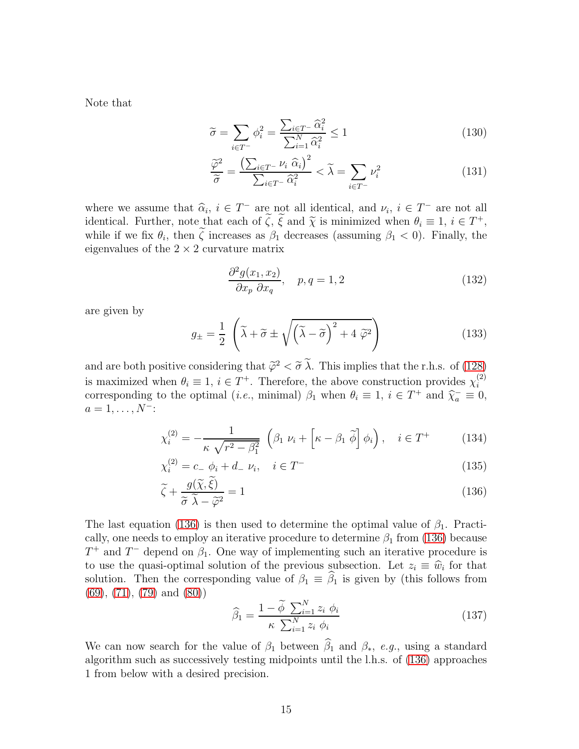Note that

$$
\widetilde{\sigma} = \sum_{i \in T^{-}} \phi_i^2 = \frac{\sum_{i \in T^{-}} \widehat{\alpha}_i^2}{\sum_{i=1}^N \widehat{\alpha}_i^2} \le 1
$$
\n(130)

$$
\frac{\widetilde{\varphi}^2}{\widetilde{\sigma}} = \frac{\left(\sum_{i \in T^-} \nu_i \ \widehat{\alpha}_i\right)^2}{\sum_{i \in T^-} \widehat{\alpha}_i^2} < \widetilde{\lambda} = \sum_{i \in T^-} \nu_i^2 \tag{131}
$$

where we assume that  $\widehat{\alpha}_i$ ,  $i \in T^-$  are not all identical, and  $\nu_i$ ,  $i \in T^-$  are not all  $i \in T^+$ identical. Further, note that each of  $\zeta$ ,  $\xi$  and  $\widetilde{\chi}$  is minimized when  $\theta_i \equiv 1$ ,  $i \in T^+$ , while if we fix  $\theta_i$ , then  $\zeta$  increases as  $\beta_1$  decreases (assuming  $\beta_1 < 0$ ). Finally, the eigenvalues of the  $2 \times 2$  curvature matrix

$$
\frac{\partial^2 g(x_1, x_2)}{\partial x_p \partial x_q}, \quad p, q = 1, 2 \tag{132}
$$

are given by

$$
g_{\pm} = \frac{1}{2} \left( \tilde{\lambda} + \tilde{\sigma} \pm \sqrt{\left( \tilde{\lambda} - \tilde{\sigma} \right)^2 + 4 \tilde{\varphi}^2} \right)
$$
(133)

and are both positive considering that  $\tilde{\varphi}^2 < \tilde{\sigma} \lambda$ . This implies that the r.h.s. of [\(128\)](#page-14-1) is maximized when  $\theta_i \equiv 1, i \in T^+$ . Therefore, the above construction provides  $\chi_i^{(2)}$ i corresponding to the optimal (*i.e.*, minimal)  $\beta_1$  when  $\theta_i \equiv 1$ ,  $i \in T^+$  and  $\widehat{\chi}_a^- \equiv 0$ ,  $a = 1, \ldots, N^-$ :

<span id="page-15-0"></span>
$$
\chi_i^{(2)} = -\frac{1}{\kappa \sqrt{r^2 - \beta_1^2}} \left( \beta_1 \ \nu_i + \left[ \kappa - \beta_1 \ \tilde{\phi} \right] \phi_i \right), \quad i \in T^+ \tag{134}
$$

$$
\chi_i^{(2)} = c_- \phi_i + d_- \nu_i, \quad i \in T^-
$$
\n
$$
(135)
$$

$$
\tilde{\zeta} + \frac{g(\chi, \xi)}{\tilde{\sigma} \tilde{\lambda} - \tilde{\varphi}^2} = 1
$$
\n(136)

The last equation [\(136\)](#page-15-0) is then used to determine the optimal value of  $\beta_1$ . Practically, one needs to employ an iterative procedure to determine  $\beta_1$  from [\(136\)](#page-15-0) because  $T^+$  and  $T^-$  depend on  $\beta_1$ . One way of implementing such an iterative procedure is to use the quasi-optimal solution of the previous subsection. Let  $z_i \equiv \hat{w}_i$  for that solution. Then the corresponding value of  $\beta_1 \equiv \widehat{\beta}_1$  is given by (this follows from [\(69\)](#page-9-1), [\(71\)](#page-9-1), [\(79\)](#page-10-1) and [\(80\)](#page-10-1))

$$
\widehat{\beta}_1 = \frac{1 - \widetilde{\phi} \sum_{i=1}^N z_i \phi_i}{\kappa \sum_{i=1}^N z_i \phi_i} \tag{137}
$$

We can now search for the value of  $\beta_1$  between  $\widehat{\beta}_1$  and  $\beta_*$ , e.g., using a standard algorithm such as successively testing midpoints until the l.h.s. of [\(136\)](#page-15-0) approaches 1 from below with a desired precision.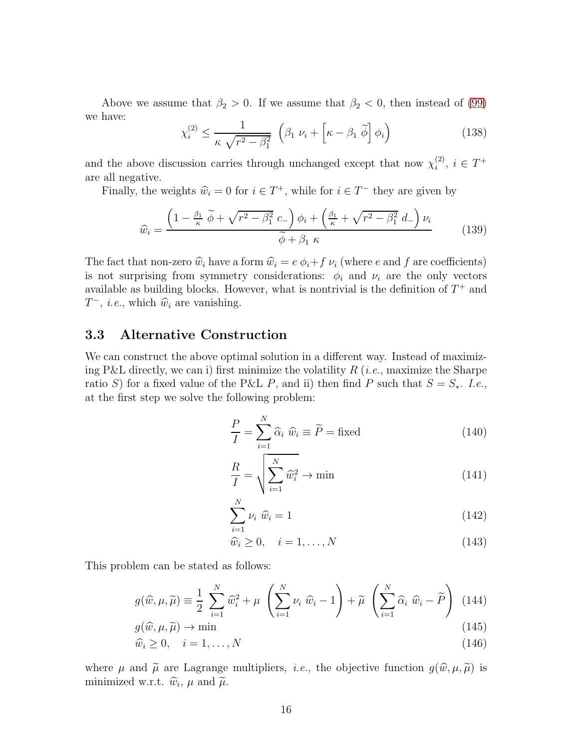Above we assume that  $\beta_2 > 0$ . If we assume that  $\beta_2 < 0$ , then instead of [\(99\)](#page-12-0) we have:

$$
\chi_i^{(2)} \le \frac{1}{\kappa \sqrt{r^2 - \beta_1^2}} \left( \beta_1 \ \nu_i + \left[ \kappa - \beta_1 \ \tilde{\phi} \right] \phi_i \right) \tag{138}
$$

and the above discussion carries through unchanged except that now  $\chi_i^{(2)}$  $i^{(2)}$ ,  $i \in T^+$ are all negative.

Finally, the weights  $\hat{w}_i = 0$  for  $i \in T^+$ , while for  $i \in T^-$  they are given by

$$
\widehat{w}_i = \frac{\left(1 - \frac{\beta_1}{\kappa} \widetilde{\phi} + \sqrt{r^2 - \beta_1^2} c_-\right) \phi_i + \left(\frac{\beta_1}{\kappa} + \sqrt{r^2 - \beta_1^2} d_-\right) \nu_i}{\widetilde{\phi} + \beta_1 \kappa} \tag{139}
$$

The fact that non-zero  $\hat{w}_i$  have a form  $\hat{w}_i = e \phi_i + f \nu_i$  (where e and f are coefficients) is not surprising from symmetry considerations:  $\phi_i$  and  $\nu_i$  are the only vectors available as building blocks. However, what is nontrivial is the definition of  $T^+$  and  $T^-$ , *i.e.*, which  $\hat{w}_i$  are vanishing.

### <span id="page-16-0"></span>3.3 Alternative Construction

We can construct the above optimal solution in a different way. Instead of maximizing P&L directly, we can i) first minimize the volatility  $R$  (*i.e.*, maximize the Sharpe ratio S) for a fixed value of the P&L P, and ii) then find P such that  $S = S_*$ . I.e., at the first step we solve the following problem:

$$
\frac{P}{I} = \sum_{i=1}^{N} \hat{\alpha}_i \ \hat{w}_i \equiv \tilde{P} = \text{fixed}
$$
 (140)

$$
\frac{R}{I} = \sqrt{\sum_{i=1}^{N} \hat{w}_i^2} \to \min
$$
\n(141)

$$
\sum_{i=1}^{N} \nu_i \widehat{w}_i = 1 \tag{142}
$$

$$
\widehat{w}_i \ge 0, \quad i = 1, \dots, N \tag{143}
$$

This problem can be stated as follows:

$$
g(\widehat{w}, \mu, \widetilde{\mu}) \equiv \frac{1}{2} \sum_{i=1}^{N} \widehat{w}_i^2 + \mu \left( \sum_{i=1}^{N} \nu_i \widehat{w}_i - 1 \right) + \widetilde{\mu} \left( \sum_{i=1}^{N} \widehat{\alpha}_i \widehat{w}_i - \widetilde{P} \right)
$$
(144)

$$
g(\widehat{w}, \mu, \widetilde{\mu}) \to \min_{\lambda \in \mathbb{R}^n} \mathbb{R}^n \tag{145}
$$

$$
\widehat{w}_i \ge 0, \quad i = 1, \dots, N \tag{146}
$$

where  $\mu$  and  $\tilde{\mu}$  are Lagrange multipliers, *i.e.*, the objective function  $g(\hat{w}, \mu, \tilde{\mu})$  is minimized w.r.t.  $\hat{w}_i$ ,  $\mu$  and  $\tilde{\mu}$ .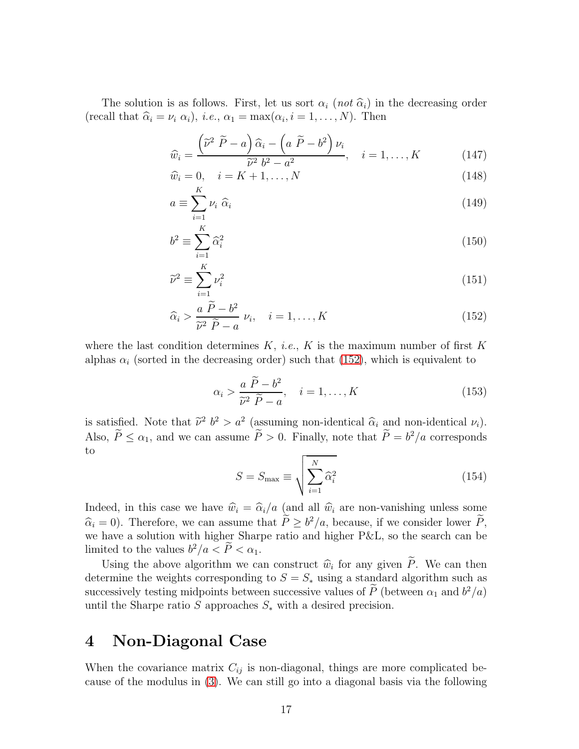The solution is as follows. First, let us sort  $\alpha_i$  (not  $\hat{\alpha}_i$ ) in the decreasing order (recall that  $\hat{\alpha}_i = \nu_i \alpha_i$ ), *i.e.*,  $\alpha_1 = \max(\alpha_i, i = 1, ..., N)$ . Then

<span id="page-17-1"></span>
$$
\widehat{w}_i = \frac{\left(\widetilde{\nu}^2 \ \widetilde{P} - a\right)\widehat{\alpha}_i - \left(a \ \widetilde{P} - b^2\right)\nu_i}{\widetilde{\nu}^2 \ b^2 - a^2}, \quad i = 1, \dots, K \tag{147}
$$

$$
\widehat{w}_i = 0, \quad i = K + 1, \dots, N \tag{148}
$$

$$
a \equiv \sum_{i=1}^{K} \nu_i \ \hat{\alpha}_i \tag{149}
$$

$$
b^2 \equiv \sum_{i=1}^K \widehat{\alpha}_i^2 \tag{150}
$$

$$
\widetilde{\nu}^2 \equiv \sum_{i=1}^K \nu_i^2 \tag{151}
$$

$$
\widehat{\alpha}_i > \frac{a \ \widetilde{P} - b^2}{\widetilde{\nu}^2 \ \widetilde{P} - a} \ \nu_i, \quad i = 1, \dots, K
$$
\n(152)

where the last condition determines  $K$ , *i.e.*,  $K$  is the maximum number of first  $K$ alphas  $\alpha_i$  (sorted in the decreasing order) such that [\(152\)](#page-17-1), which is equivalent to

$$
\alpha_i > \frac{a \ \widetilde{P} - b^2}{\widetilde{\nu}^2 \ \widetilde{P} - a}, \quad i = 1, \dots, K
$$
\n(153)

is satisfied. Note that  $\tilde{\nu}^2$   $b^2 > a^2$  (assuming non-identical  $\hat{\alpha}_i$  and non-identical  $\nu_i$ ). Also,  $\hat{P} \le \alpha_1$ , and we can assume  $\hat{P} > 0$ . Finally, note that  $\hat{P} = b^2/a$  corresponds to

$$
S = S_{\text{max}} \equiv \sqrt{\sum_{i=1}^{N} \hat{\alpha}_i^2}
$$
 (154)

Indeed, in this case we have  $\hat{w}_i = \hat{\alpha}_i/a$  (and all  $\hat{w}_i$  are non-vanishing unless some  $\widehat{\alpha}_i = 0$ ). Therefore, we can assume that  $P \ge b^2/a$ , because, if we consider lower P, we have a solution with higher Sharpe ratio and higher P&L, so the search can be limited to the values  $b^2/a < \overline{P} < \alpha_1$ .

Using the above algorithm we can construct  $\hat{w}_i$  for any given P. We can then determine the weights corresponding to  $S = S_*$  using a standard algorithm such as successively testing midpoints between successive values of  $\tilde{P}$  (between  $\alpha_1$  and  $b^2/a$ ) until the Sharpe ratio S approaches  $S_*$  with a desired precision.

## <span id="page-17-0"></span>4 Non-Diagonal Case

When the covariance matrix  $C_{ij}$  is non-diagonal, things are more complicated because of the modulus in [\(3\)](#page-2-2). We can still go into a diagonal basis via the following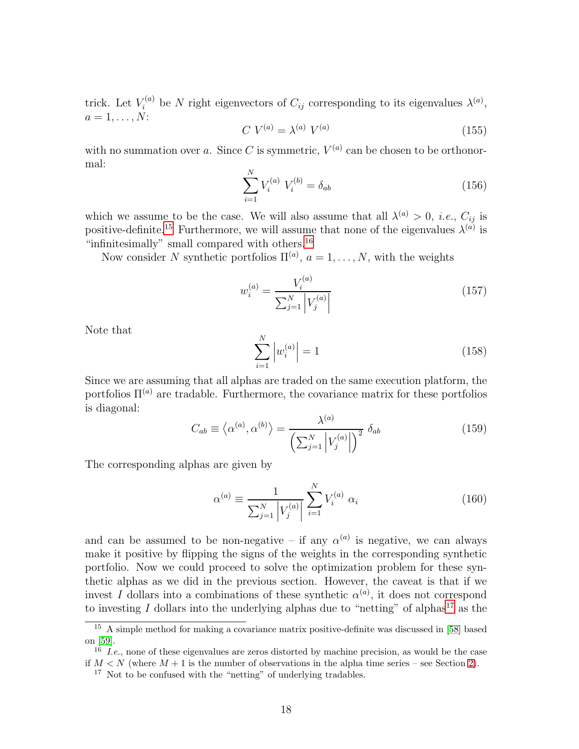trick. Let  $V_i^{(a)}$  be N right eigenvectors of  $C_{ij}$  corresponding to its eigenvalues  $\lambda^{(a)}$ ,  $a=1,\ldots,N$ :

$$
C\ V^{(a)} = \lambda^{(a)}\ V^{(a)}\tag{155}
$$

with no summation over a. Since C is symmetric,  $V^{(a)}$  can be chosen to be orthonormal:

$$
\sum_{i=1}^{N} V_i^{(a)} V_i^{(b)} = \delta_{ab} \tag{156}
$$

which we assume to be the case. We will also assume that all  $\lambda^{(a)} > 0$ , *i.e.*,  $C_{ij}$  is positive-definite.<sup>[15](#page-18-0)</sup> Furthermore, we will assume that none of the eigenvalues  $\lambda^{(a)}$  is "infinitesimally" small compared with others.<sup>[16](#page-18-1)</sup>

Now consider N synthetic portfolios  $\Pi^{(a)}$ ,  $a = 1, \ldots, N$ , with the weights

$$
w_i^{(a)} = \frac{V_i^{(a)}}{\sum_{j=1}^N \left| V_j^{(a)} \right|} \tag{157}
$$

Note that

$$
\sum_{i=1}^{N} \left| w_i^{(a)} \right| = 1 \tag{158}
$$

Since we are assuming that all alphas are traded on the same execution platform, the portfolios  $\Pi^{(a)}$  are tradable. Furthermore, the covariance matrix for these portfolios is diagonal:

$$
C_{ab} \equiv \langle \alpha^{(a)}, \alpha^{(b)} \rangle = \frac{\lambda^{(a)}}{\left(\sum_{j=1}^{N} \left| V_j^{(a)} \right| \right)^2} \delta_{ab} \tag{159}
$$

The corresponding alphas are given by

$$
\alpha^{(a)} \equiv \frac{1}{\sum_{j=1}^{N} |V_j^{(a)}|} \sum_{i=1}^{N} V_i^{(a)} \alpha_i
$$
 (160)

and can be assumed to be non-negative – if any  $\alpha^{(a)}$  is negative, we can always make it positive by flipping the signs of the weights in the corresponding synthetic portfolio. Now we could proceed to solve the optimization problem for these synthetic alphas as we did in the previous section. However, the caveat is that if we invest I dollars into a combinations of these synthetic  $\alpha^{(a)}$ , it does not correspond to investing I dollars into the underlying alphas due to "netting" of alphas<sup>[17](#page-18-2)</sup> as the

<sup>&</sup>lt;sup>15</sup> A simple method for making a covariance matrix positive-definite was discussed in [\[58\]](#page-41-2) based on [\[59\]](#page-41-3).

<span id="page-18-0"></span> $16 \overline{16}$  I.e., none of these eigenvalues are zeros distorted by machine precision, as would be the case if  $M < N$  (where  $M + 1$  is the number of observations in the alpha time series – see Section [2\)](#page-2-1).

<span id="page-18-2"></span><span id="page-18-1"></span><sup>&</sup>lt;sup>17</sup> Not to be confused with the "netting" of underlying tradables.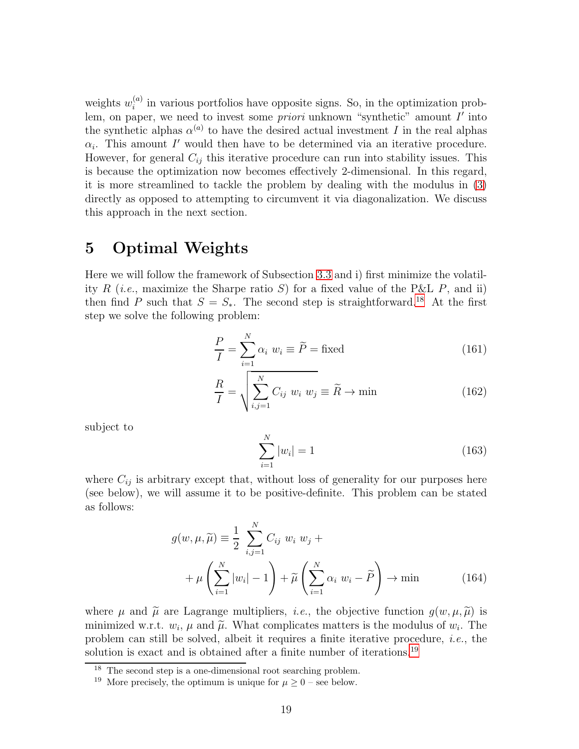weights  $w_i^{(a)}$  $i<sup>(a)</sup>$  in various portfolios have opposite signs. So, in the optimization problem, on paper, we need to invest some *priori* unknown "synthetic" amount I' into the synthetic alphas  $\alpha^{(a)}$  to have the desired actual investment I in the real alphas  $\alpha_i$ . This amount I' would then have to be determined via an iterative procedure. However, for general  $C_{ij}$  this iterative procedure can run into stability issues. This is because the optimization now becomes effectively 2-dimensional. In this regard, it is more streamlined to tackle the problem by dealing with the modulus in [\(3\)](#page-2-2) directly as opposed to attempting to circumvent it via diagonalization. We discuss this approach in the next section.

## <span id="page-19-0"></span>5 Optimal Weights

Here we will follow the framework of Subsection [3.3](#page-16-0) and i) first minimize the volatility R (*i.e.*, maximize the Sharpe ratio S) for a fixed value of the P&L P, and ii) then find P such that  $S = S_*$ . The second step is straightforward.<sup>[18](#page-19-1)</sup> At the first step we solve the following problem:

$$
\frac{P}{I} = \sum_{i=1}^{N} \alpha_i \ w_i \equiv \widetilde{P} = \text{fixed}
$$
 (161)

$$
\frac{R}{I} = \sqrt{\sum_{i,j=1}^{N} C_{ij} w_i w_j} \equiv \widetilde{R} \to \min
$$
\n(162)

subject to

$$
\sum_{i=1}^{N} |w_i| = 1 \tag{163}
$$

where  $C_{ij}$  is arbitrary except that, without loss of generality for our purposes here (see below), we will assume it to be positive-definite. This problem can be stated as follows:

<span id="page-19-3"></span>
$$
g(w, \mu, \widetilde{\mu}) \equiv \frac{1}{2} \sum_{i,j=1}^{N} C_{ij} w_i w_j +
$$
  
+ 
$$
\mu \left( \sum_{i=1}^{N} |w_i| - 1 \right) + \widetilde{\mu} \left( \sum_{i=1}^{N} \alpha_i w_i - \widetilde{P} \right) \to \min
$$
 (164)

where  $\mu$  and  $\tilde{\mu}$  are Lagrange multipliers, *i.e.*, the objective function  $g(w, \mu, \tilde{\mu})$  is minimized w.r.t.  $w_i$ ,  $\mu$  and  $\tilde{\mu}$ . What complicates matters is the modulus of  $w_i$ . The problem can still be solved, albeit it requires a finite iterative procedure, i.e., the solution is exact and is obtained after a finite number of iterations.<sup>[19](#page-19-2)</sup>

<sup>18</sup> The second step is a one-dimensional root searching problem.

<span id="page-19-2"></span><span id="page-19-1"></span><sup>&</sup>lt;sup>19</sup> More precisely, the optimum is unique for  $\mu \geq 0$  – see below.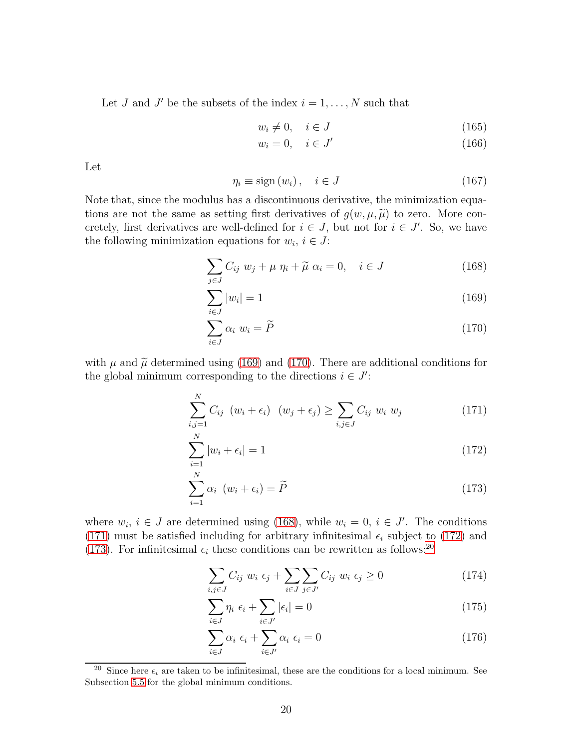Let J and J' be the subsets of the index  $i = 1, \ldots, N$  such that

$$
w_i \neq 0, \quad i \in J \tag{165}
$$

$$
w_i = 0, \quad i \in J' \tag{166}
$$

Let

$$
\eta_i \equiv \text{sign}(w_i), \quad i \in J \tag{167}
$$

Note that, since the modulus has a discontinuous derivative, the minimization equations are not the same as setting first derivatives of  $g(w, \mu, \tilde{\mu})$  to zero. More concretely, first derivatives are well-defined for  $i \in J$ , but not for  $i \in J'$ . So, we have the following minimization equations for  $w_i$ ,  $i \in J$ :

<span id="page-20-0"></span>
$$
\sum_{j \in J} C_{ij} w_j + \mu \eta_i + \widetilde{\mu} \alpha_i = 0, \quad i \in J \tag{168}
$$

$$
\sum_{i \in J} |w_i| = 1 \tag{169}
$$

$$
\sum_{i \in J} \alpha_i \ w_i = \widetilde{P} \tag{170}
$$

with  $\mu$  and  $\tilde{\mu}$  determined using [\(169\)](#page-20-0) and [\(170\)](#page-20-0). There are additional conditions for the global minimum corresponding to the directions  $i \in J'$ :

<span id="page-20-1"></span>
$$
\sum_{i,j=1}^{N} C_{ij} \ (w_i + \epsilon_i) \ (w_j + \epsilon_j) \ge \sum_{i,j \in J} C_{ij} \ w_i \ w_j \tag{171}
$$

$$
\sum_{i=1}^{N} |w_i + \epsilon_i| = 1 \tag{172}
$$

$$
\sum_{i=1}^{N} \alpha_i \ (w_i + \epsilon_i) = \widetilde{P}
$$
\n(173)

where  $w_i$ ,  $i \in J$  are determined using [\(168\)](#page-20-0), while  $w_i = 0$ ,  $i \in J'$ . The conditions [\(171\)](#page-20-1) must be satisfied including for arbitrary infinitesimal  $\epsilon_i$  subject to [\(172\)](#page-20-1) and [\(173\)](#page-20-1). For infinitesimal  $\epsilon_i$  these conditions can be rewritten as follows:<sup>[20](#page-20-2)</sup>

$$
\sum_{i,j\in J} C_{ij} w_i \epsilon_j + \sum_{i\in J} \sum_{j\in J'} C_{ij} w_i \epsilon_j \ge 0
$$
\n(174)

$$
\sum_{i \in J} \eta_i \epsilon_i + \sum_{i \in J'} |\epsilon_i| = 0 \tag{175}
$$

$$
\sum_{i \in J} \alpha_i \epsilon_i + \sum_{i \in J'} \alpha_i \epsilon_i = 0 \tag{176}
$$

<span id="page-20-2"></span><sup>&</sup>lt;sup>20</sup> Since here  $\epsilon_i$  are taken to be infinitesimal, these are the conditions for a local minimum. See Subsection [5.5](#page-27-0) for the global minimum conditions.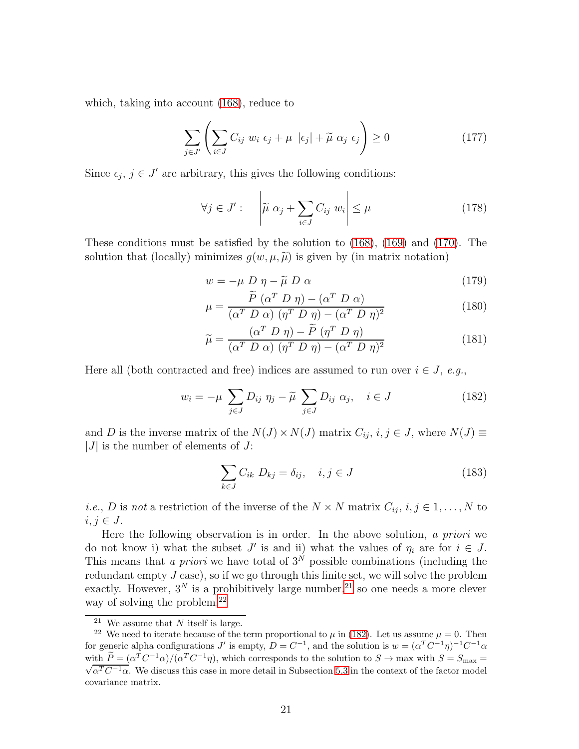which, taking into account [\(168\)](#page-20-0), reduce to

<span id="page-21-5"></span>
$$
\sum_{j \in J'} \left( \sum_{i \in J} C_{ij} w_i \epsilon_j + \mu \, |\epsilon_j| + \widetilde{\mu} \, \alpha_j \epsilon_j \right) \ge 0 \tag{177}
$$

Since  $\epsilon_j$ ,  $j \in J'$  are arbitrary, this gives the following conditions:

<span id="page-21-3"></span>
$$
\forall j \in J': \quad \left| \widetilde{\mu} \alpha_j + \sum_{i \in J} C_{ij} w_i \right| \le \mu \tag{178}
$$

These conditions must be satisfied by the solution to [\(168\)](#page-20-0), [\(169\)](#page-20-0) and [\(170\)](#page-20-0). The solution that (locally) minimizes  $g(w, \mu, \widetilde{\mu})$  is given by (in matrix notation)

$$
w = -\mu \ D \ \eta - \widetilde{\mu} \ D \ \alpha \tag{179}
$$

$$
\mu = \frac{\dot{P} \left(\alpha^T D \eta\right) - \left(\alpha^T D \alpha\right)}{\left(\alpha^T D \alpha\right) \left(\eta^T D \eta\right) - \left(\alpha^T D \eta\right)^2}
$$
(180)

$$
\widetilde{\mu} = \frac{(\alpha^T D \eta) - \widetilde{P} (\eta^T D \eta)}{(\alpha^T D \alpha) (\eta^T D \eta) - (\alpha^T D \eta)^2}
$$
(181)

Here all (both contracted and free) indices are assumed to run over  $i \in J$ , e.g.,

<span id="page-21-2"></span>
$$
w_i = -\mu \sum_{j \in J} D_{ij} \eta_j - \widetilde{\mu} \sum_{j \in J} D_{ij} \alpha_j, \quad i \in J \tag{182}
$$

and D is the inverse matrix of the  $N(J) \times N(J)$  matrix  $C_{ij}$ ,  $i, j \in J$ , where  $N(J) \equiv$  $|J|$  is the number of elements of J:

<span id="page-21-4"></span>
$$
\sum_{k \in J} C_{ik} D_{kj} = \delta_{ij}, \quad i, j \in J \tag{183}
$$

*i.e.*, *D* is not a restriction of the inverse of the  $N \times N$  matrix  $C_{ij}$ ,  $i, j \in 1, ..., N$  to  $i, j \in J$ .

Here the following observation is in order. In the above solution, a priori we do not know i) what the subset  $J'$  is and ii) what the values of  $\eta_i$  are for  $i \in J$ . This means that a priori we have total of  $3^N$  possible combinations (including the redundant empty  $J$  case), so if we go through this finite set, we will solve the problem exactly. However,  $3^N$  is a prohibitively large number,<sup>[21](#page-21-0)</sup> so one needs a more clever way of solving the problem.<sup>[22](#page-21-1)</sup>

<span id="page-21-0"></span><sup>&</sup>lt;sup>21</sup> We assume that N itself is large.

<span id="page-21-1"></span><sup>&</sup>lt;sup>22</sup> We need to iterate because of the term proportional to  $\mu$  in [\(182\)](#page-21-2). Let us assume  $\mu = 0$ . Then for generic alpha configurations J' is empty,  $D = C^{-1}$ , and the solution is  $w = (\alpha^T C^{-1} \eta)^{-1} C^{-1} \alpha$ with  $\widetilde{P} = (\alpha^T C^{-1} \alpha)/(\alpha^T C^{-1} \eta)$ , which corresponds to the solution to  $S \to \max$  with  $S = S_{\max} = \sqrt{\alpha^T C^{-1} \alpha}$ . We discuss this case in more detail in Subsection 5.2 in the sentent of the factor model  $\sqrt{\alpha^T C^{-1} \alpha}$ . We discuss this case in more detail in Subsection [5.3](#page-25-0) in the context of the factor model covariance matrix.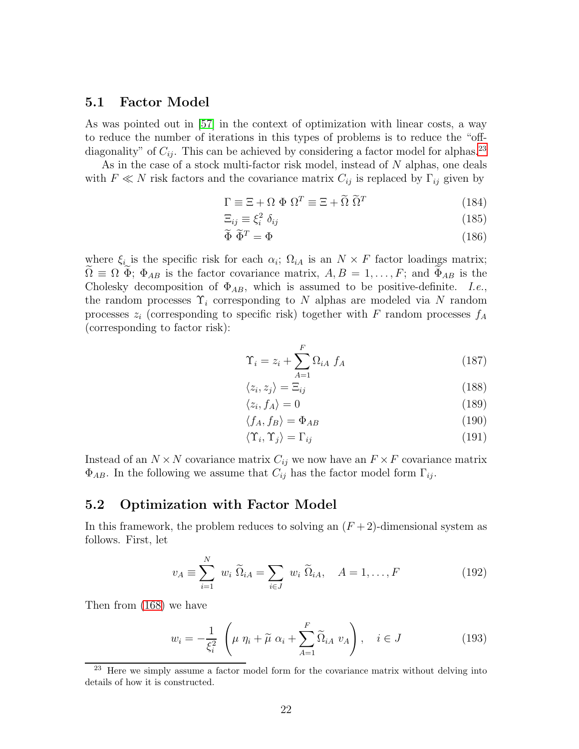#### <span id="page-22-4"></span>5.1 Factor Model

As was pointed out in [\[57\]](#page-41-0) in the context of optimization with linear costs, a way to reduce the number of iterations in this types of problems is to reduce the "offdiagonality" of  $C_{ij}$ . This can be achieved by considering a factor model for alphas.<sup>[23](#page-22-0)</sup>

As in the case of a stock multi-factor risk model, instead of N alphas, one deals with  $F \ll N$  risk factors and the covariance matrix  $C_{ij}$  is replaced by  $\Gamma_{ij}$  given by

$$
\Gamma \equiv \Xi + \Omega \Phi \Omega^T \equiv \Xi + \tilde{\Omega} \tilde{\Omega}^T \tag{184}
$$

$$
\Xi_{ij} \equiv \xi_i^2 \; \delta_{ij} \tag{185}
$$

$$
\widetilde{\Phi}\ \widetilde{\Phi}^T = \Phi \tag{186}
$$

where  $\xi_i$  is the specific risk for each  $\alpha_i$ ;  $\Omega_{iA}$  is an  $N \times F$  factor loadings matrix;  $\Omega \equiv \Omega \Phi$ ;  $\Phi_{AB}$  is the factor covariance matrix,  $A, B = 1, \ldots, F$ ; and  $\Phi_{AB}$  is the Cholesky decomposition of  $\Phi_{AB}$ , which is assumed to be positive-definite. I.e., the random processes  $\Upsilon_i$  corresponding to N alphas are modeled via N random processes  $z_i$  (corresponding to specific risk) together with F random processes  $f_A$ (corresponding to factor risk):

$$
\Upsilon_i = z_i + \sum_{A=1}^{F} \Omega_{iA} f_A \tag{187}
$$

$$
\langle z_i, z_j \rangle = \Xi_{ij} \tag{188}
$$

$$
\langle z_i, f_A \rangle = 0 \tag{189}
$$

$$
\langle f_A, f_B \rangle = \Phi_{AB} \tag{190}
$$

$$
\langle \Upsilon_i, \Upsilon_j \rangle = \Gamma_{ij} \tag{191}
$$

Instead of an  $N \times N$  covariance matrix  $C_{ij}$  we now have an  $F \times F$  covariance matrix  $\Phi_{AB}$ . In the following we assume that  $C_{ij}$  has the factor model form  $\Gamma_{ij}$ .

### <span id="page-22-3"></span>5.2 Optimization with Factor Model

In this framework, the problem reduces to solving an  $(F + 2)$ -dimensional system as follows. First, let

<span id="page-22-2"></span>
$$
v_A \equiv \sum_{i=1}^{N} w_i \ \widetilde{\Omega}_{iA} = \sum_{i \in J} w_i \ \widetilde{\Omega}_{iA}, \quad A = 1, \dots, F
$$
 (192)

Then from [\(168\)](#page-20-0) we have

<span id="page-22-1"></span>
$$
w_i = -\frac{1}{\xi_i^2} \left( \mu \eta_i + \widetilde{\mu} \alpha_i + \sum_{A=1}^F \widetilde{\Omega}_{iA} \ v_A \right), \quad i \in J \tag{193}
$$

<span id="page-22-0"></span><sup>&</sup>lt;sup>23</sup> Here we simply assume a factor model form for the covariance matrix without delving into details of how it is constructed.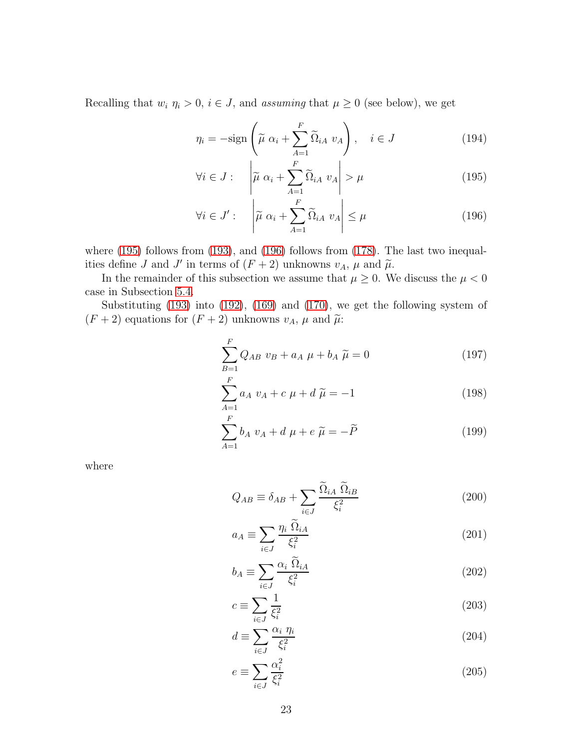Recalling that  $w_i$   $\eta_i > 0$ ,  $i \in J$ , and assuming that  $\mu \geq 0$  (see below), we get

<span id="page-23-0"></span>
$$
\eta_i = -\text{sign}\left(\tilde{\mu} \ \alpha_i + \sum_{A=1}^F \tilde{\Omega}_{iA} \ v_A\right), \quad i \in J \tag{194}
$$

$$
\forall i \in J : \quad \left| \widetilde{\mu} \alpha_i + \sum_{A=1}^{F} \widetilde{\Omega}_{iA} \ v_A \right| > \mu \tag{195}
$$

$$
\forall i \in J': \quad \left| \widetilde{\mu} \alpha_i + \sum_{A=1}^{F} \widetilde{\Omega}_{iA} \ v_A \right| \leq \mu \tag{196}
$$

where [\(195\)](#page-23-0) follows from [\(193\)](#page-22-1), and [\(196\)](#page-23-0) follows from [\(178\)](#page-21-3). The last two inequalities define J and J' in terms of  $(F + 2)$  unknowns  $v_A$ ,  $\mu$  and  $\tilde{\mu}$ .

In the remainder of this subsection we assume that  $\mu \geq 0$ . We discuss the  $\mu < 0$ case in Subsection [5.4.](#page-27-1)

Substituting [\(193\)](#page-22-1) into [\(192\)](#page-22-2), [\(169\)](#page-20-0) and [\(170\)](#page-20-0), we get the following system of  $(F + 2)$  equations for  $(F + 2)$  unknowns  $v_A$ ,  $\mu$  and  $\tilde{\mu}$ :

$$
\sum_{B=1}^{F} Q_{AB} \ v_B + a_A \ \mu + b_A \ \tilde{\mu} = 0 \tag{197}
$$

$$
\sum_{A=1}^{F} a_A \ v_A + c \ \mu + d \ \tilde{\mu} = -1 \tag{198}
$$

$$
\sum_{A=1}^{F} b_A v_A + d \mu + e \tilde{\mu} = -\tilde{P}
$$
 (199)

where

$$
Q_{AB} \equiv \delta_{AB} + \sum_{i \in J} \frac{\widetilde{\Omega}_{iA} \ \widetilde{\Omega}_{iB}}{\xi_i^2} \tag{200}
$$

$$
a_A \equiv \sum_{i \in J} \frac{\eta_i \; \Omega_{iA}}{\xi_i^2} \tag{201}
$$

$$
b_A \equiv \sum_{i \in J} \frac{\alpha_i \ \Omega_{iA}}{\xi_i^2} \tag{202}
$$

$$
c \equiv \sum_{i \in J} \frac{1}{\xi_i^2} \tag{203}
$$

$$
d \equiv \sum_{i \in J} \frac{\alpha_i \ \eta_i}{\xi_i^2} \tag{204}
$$

$$
e \equiv \sum_{i \in J} \frac{\alpha_i^2}{\xi_i^2} \tag{205}
$$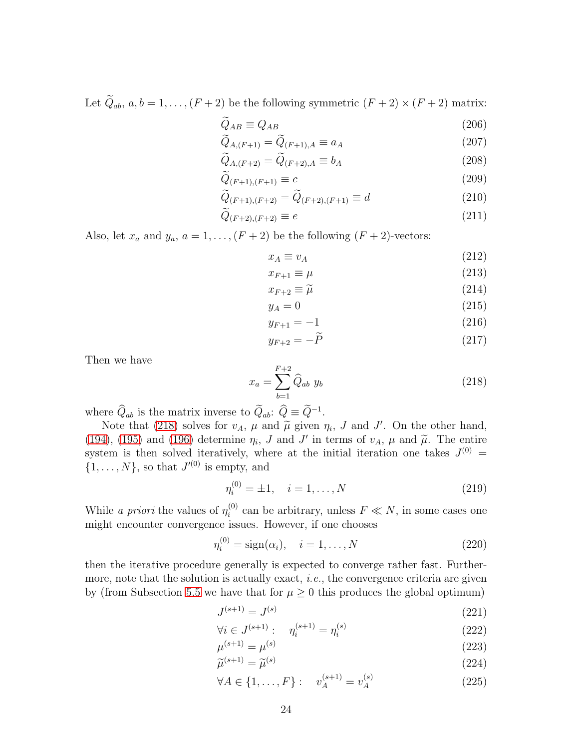Let  $\widetilde{Q}_{ab}$ ,  $a, b = 1, \ldots, (F + 2)$  be the following symmetric  $(F + 2) \times (F + 2)$  matrix:

$$
\widetilde{Q}_{AB} \equiv Q_{AB} \tag{206}
$$

$$
\widetilde{Q}_{A,(F+1)} = \widetilde{Q}_{(F+1),A} \equiv a_A \tag{207}
$$

$$
Q_{A,(F+2)} = Q_{(F+2),A} \equiv b_A \tag{208}
$$

$$
Q_{(F+1),(F+1)} \equiv c \tag{209}
$$

$$
\widetilde{Q}_{(F+1),(F+2)} = \widetilde{Q}_{(F+2),(F+1)} \equiv d \tag{210}
$$

$$
\widetilde{Q}_{(F+2),(F+2)} \equiv e \tag{211}
$$

Also, let  $x_a$  and  $y_a$ ,  $a = 1, ..., (F + 2)$  be the following  $(F + 2)$ -vectors:

$$
x_A \equiv v_A \tag{212}
$$

$$
x_{F+1} \equiv \mu \tag{213}
$$

$$
x_{F+2} \equiv \widetilde{\mu} \tag{214}
$$

$$
y_A = 0 \tag{215}
$$

$$
y_{F+1} = -1 \tag{216}
$$

$$
y_{F+2} = -\widetilde{P} \tag{217}
$$

Then we have

<span id="page-24-0"></span>
$$
x_a = \sum_{b=1}^{F+2} \hat{Q}_{ab} y_b
$$
 (218)

where  $\hat{Q}_{ab}$  is the matrix inverse to  $\hat{Q}_{ab}$ :  $\hat{Q} \equiv \hat{Q}^{-1}$ .

Note that [\(218\)](#page-24-0) solves for  $v_A$ ,  $\mu$  and  $\tilde{\mu}$  given  $\eta_i$ ,  $J$  and  $J'$ . On the other hand, [\(194\)](#page-23-0), [\(195\)](#page-23-0) and [\(196\)](#page-23-0) determine  $\eta_i$ , J and J' in terms of  $v_A$ ,  $\mu$  and  $\tilde{\mu}$ . The entire system is then solved iteratively, where at the initial iteration one takes  $J^{(0)} =$  $\{1, \ldots, N\}$ , so that  $J^{(0)}$  is empty, and

$$
\eta_i^{(0)} = \pm 1, \quad i = 1, \dots, N \tag{219}
$$

While *a priori* the values of  $\eta_i^{(0)}$  $i^{(0)}$  can be arbitrary, unless  $F \ll N$ , in some cases one might encounter convergence issues. However, if one chooses

$$
\eta_i^{(0)} = sign(\alpha_i), \quad i = 1, ..., N
$$
 (220)

then the iterative procedure generally is expected to converge rather fast. Furthermore, note that the solution is actually exact, *i.e.*, the convergence criteria are given by (from Subsection [5.5](#page-27-0) we have that for  $\mu \geq 0$  this produces the global optimum)

$$
J^{(s+1)} = J^{(s)} \tag{221}
$$

$$
\forall i \in J^{(s+1)}: \quad \eta_i^{(s+1)} = \eta_i^{(s)} \tag{222}
$$

$$
\mu^{(s+1)} = \mu^{(s)} \tag{223}
$$

$$
\widetilde{\mu}^{(s+1)} = \widetilde{\mu}^{(s)} \tag{224}
$$

$$
\forall A \in \{1, \dots, F\} : \quad v_A^{(s+1)} = v_A^{(s)} \tag{225}
$$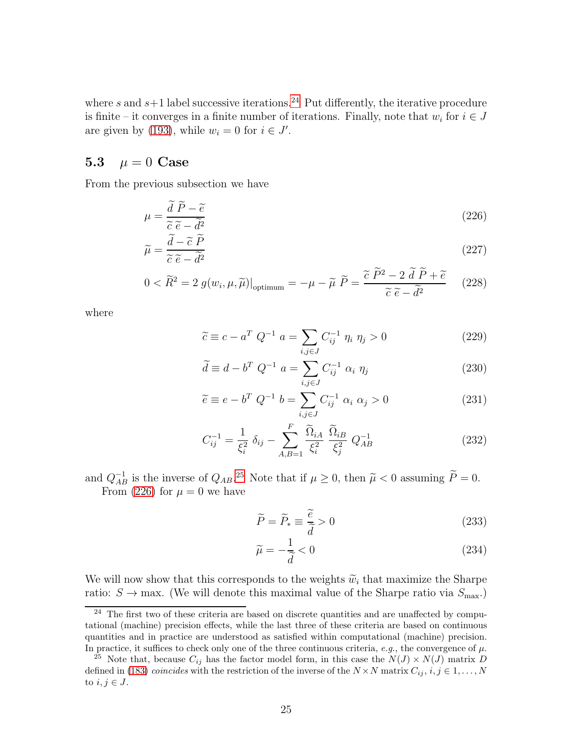where s and  $s+1$  label successive iterations.<sup>[24](#page-25-1)</sup> Put differently, the iterative procedure is finite – it converges in a finite number of iterations. Finally, note that  $w_i$  for  $i \in J$ are given by [\(193\)](#page-22-1), while  $w_i = 0$  for  $i \in J'$ .

### <span id="page-25-0"></span>5.3  $\mu = 0$  Case

From the previous subsection we have

<span id="page-25-3"></span>
$$
\mu = \frac{\overrightarrow{d} \ \overrightarrow{P} - \tilde{e}}{\tilde{c} \ \tilde{e} - \tilde{d}^2}
$$
\n
$$
(226)
$$

$$
\widetilde{\mu} = \frac{\widetilde{d} - \widetilde{c}\ \widetilde{P}}{\widetilde{c}\ \widetilde{e} - \widetilde{d}^2}
$$
\n
$$
(227)
$$

$$
0 < \widetilde{R}^2 = 2 \ g(w_i, \mu, \widetilde{\mu})\big|_{\text{optimum}} = -\mu - \widetilde{\mu} \ \widetilde{P} = \frac{\widetilde{c} \ \widetilde{P}^2 - 2 \ \widetilde{d} \ \widetilde{P} + \widetilde{e}}{\widetilde{c} \ \widetilde{e} - \widetilde{d}^2} \tag{228}
$$

where

$$
\widetilde{c} \equiv c - a^T Q^{-1} \ a = \sum_{i,j \in J} C_{ij}^{-1} \ \eta_i \ \eta_j > 0 \tag{229}
$$

$$
\tilde{d} \equiv d - b^T Q^{-1} a = \sum_{i,j \in J} C_{ij}^{-1} \alpha_i \eta_j
$$
 (230)

$$
\tilde{e} \equiv e - b^T Q^{-1} b = \sum_{i,j \in J} C_{ij}^{-1} \alpha_i \alpha_j > 0
$$
\n(231)

$$
C_{ij}^{-1} = \frac{1}{\xi_i^2} \delta_{ij} - \sum_{A,B=1}^{F} \frac{\tilde{\Omega}_{iA}}{\xi_i^2} \frac{\tilde{\Omega}_{iB}}{\xi_j^2} Q_{AB}^{-1}
$$
 (232)

and  $Q_{AB}^{-1}$  is the inverse of  $Q_{AB}^{25}$  $Q_{AB}^{25}$  $Q_{AB}^{25}$ . Note that if  $\mu \ge 0$ , then  $\tilde{\mu} < 0$  assuming  $\tilde{P} = 0$ . From [\(226\)](#page-25-3) for  $\mu = 0$  we have

<span id="page-25-4"></span>
$$
\widetilde{P} = \widetilde{P}_* \equiv \frac{\widetilde{e}}{\widetilde{d}} > 0
$$
\n(233)

$$
\widetilde{\mu} = -\frac{1}{\widetilde{d}} < 0 \tag{234}
$$

We will now show that this corresponds to the weights  $\widetilde{w}_i$  that maximize the Sharpe ratio:  $S \to \max$ . (We will denote this maximal value of the Sharpe ratio via  $S_{\max}$ .)

<span id="page-25-1"></span> $24$  The first two of these criteria are based on discrete quantities and are unaffected by computational (machine) precision effects, while the last three of these criteria are based on continuous quantities and in practice are understood as satisfied within computational (machine) precision. In practice, it suffices to check only one of the three continuous criteria, e.g., the convergence of  $\mu$ .

<span id="page-25-2"></span><sup>&</sup>lt;sup>25</sup> Note that, because  $C_{ij}$  has the factor model form, in this case the  $N(J) \times N(J)$  matrix D defined in [\(183\)](#page-21-4) *coincides* with the restriction of the inverse of the  $N \times N$  matrix  $C_{ij}$ ,  $i, j \in 1, ..., N$ to  $i, j \in J$ .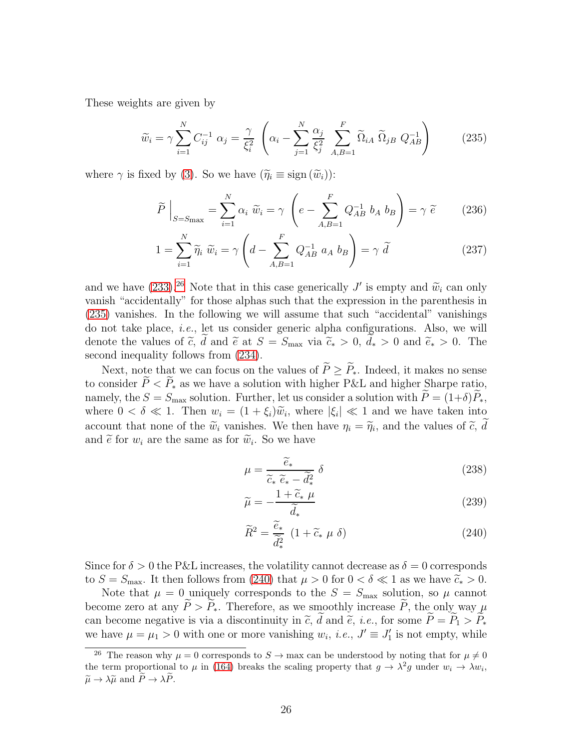These weights are given by

<span id="page-26-1"></span>
$$
\widetilde{w}_i = \gamma \sum_{i=1}^N C_{ij}^{-1} \alpha_j = \frac{\gamma}{\xi_i^2} \left( \alpha_i - \sum_{j=1}^N \frac{\alpha_j}{\xi_j^2} \sum_{A,B=1}^F \widetilde{\Omega}_{iA} \widetilde{\Omega}_{jB} Q_{AB}^{-1} \right)
$$
(235)

where  $\gamma$  is fixed by [\(3\)](#page-2-2). So we have  $(\widetilde{\eta}_i \equiv \text{sign}(\widetilde{w}_i))$ :

$$
\widetilde{P}\Big|_{S=S_{\text{max}}} = \sum_{i=1}^{N} \alpha_i \ \widetilde{w}_i = \gamma \ \left( e - \sum_{A,B=1}^{F} Q_{AB}^{-1} \ b_A \ b_B \right) = \gamma \ \widetilde{e} \tag{236}
$$

$$
1 = \sum_{i=1}^{N} \widetilde{\eta}_i \ \widetilde{w}_i = \gamma \left( d - \sum_{A,B=1}^{F} Q_{AB}^{-1} \ a_A \ b_B \right) = \gamma \ \widetilde{d}
$$
 (237)

and we have  $(233).^{26}$  $(233).^{26}$  $(233).^{26}$  Note that in this case generically J' is empty and  $\widetilde{w}_i$  can only vanish "accidentally" for those alphas such that the expression in the parenthesis in [\(235\)](#page-26-1) vanishes. In the following we will assume that such "accidental" vanishings do not take place, i.e., let us consider generic alpha configurations. Also, we will denote the values of  $\tilde{c}$ , d and  $\tilde{e}$  at  $S = S_{\text{max}}$  via  $\tilde{c}_* > 0$ ,  $d_* > 0$  and  $\tilde{e}_* > 0$ . The second inequality follows from  $(234)$ .

Next, note that we can focus on the values of  $\widetilde{P}\geq \widetilde{P}_*$ . Indeed, it makes no sense to consider  $\widetilde{P} < \widetilde{P}_*$  as we have a solution with higher P&L and higher Sharpe ratio, namely, the  $S = S_{\text{max}}$  solution. Further, let us consider a solution with  $\widetilde{P} = (1+\delta)\widetilde{P}_*,$ where  $0 < \delta \ll 1$ . Then  $w_i = (1 + \xi_i)\tilde{w}_i$ , where  $|\xi_i| \ll 1$  and we have taken into account that none of the  $\tilde{w}_i$  vanishes. We then have  $\eta_i = \tilde{\eta}_i$ , and the values of  $\tilde{c}$ , denotes the set of  $\tilde{c}$  of  $\tilde{c}$ . and  $\tilde{e}$  for  $w_i$  are the same as for  $\tilde{w}_i$ . So we have

<span id="page-26-2"></span>
$$
\mu = \frac{\widetilde{e}_*}{\widetilde{c}_* \widetilde{e}_* - \widetilde{d}_*^2} \delta \tag{238}
$$

$$
\widetilde{\mu} = -\frac{1 + \widetilde{c}_* \mu}{\widetilde{d}_*} \tag{239}
$$

$$
\widetilde{R}^2 = \frac{\widetilde{e}_*}{\widetilde{d}_*^2} \ (1 + \widetilde{c}_* \ \mu \ \delta) \tag{240}
$$

Since for  $\delta > 0$  the P&L increases, the volatility cannot decrease as  $\delta = 0$  corresponds to  $S = S_{\text{max}}$ . It then follows from [\(240\)](#page-26-2) that  $\mu > 0$  for  $0 < \delta \ll 1$  as we have  $\tilde{c}_* > 0$ .

Note that  $\mu = 0$  uniquely corresponds to the  $S = S_{\text{max}}$  solution, so  $\mu$  cannot become zero at any  $\widetilde{P} > \widetilde{P}_*$ . Therefore, as we smoothly increase  $\widetilde{P}$ , the only way  $\mu$ can become negative is via a discontinuity in  $\tilde{c}$ ,  $\tilde{d}$  and  $\tilde{e}$ , *i.e.*, for some  $\tilde{P} = \tilde{P}_1 > \tilde{P}_*$ we have  $\mu = \mu_1 > 0$  with one or more vanishing  $w_i$ , *i.e.*,  $J' \equiv J'_1$  is not empty, while

<span id="page-26-0"></span><sup>&</sup>lt;sup>26</sup> The reason why  $\mu = 0$  corresponds to  $S \to \text{max}$  can be understood by noting that for  $\mu \neq 0$ the term proportional to  $\mu$  in [\(164\)](#page-19-3) breaks the scaling property that  $g \to \lambda^2 g$  under  $w_i \to \lambda w_i$ ,  $\widetilde{\mu} \to \lambda \widetilde{\mu}$  and  $\widetilde{P} \to \lambda \widetilde{P}$ .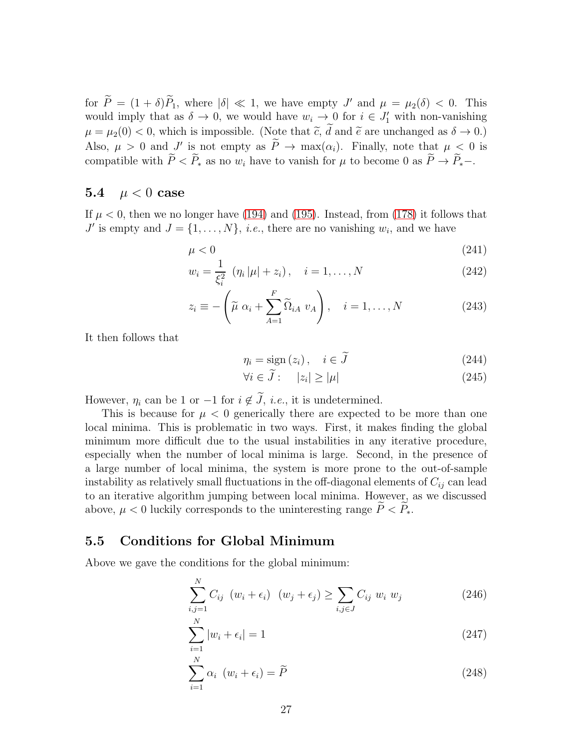for  $P = (1 + \delta)P_1$ , where  $|\delta| \ll 1$ , we have empty J' and  $\mu = \mu_2(\delta) < 0$ . This would imply that as  $\delta \to 0$ , we would have  $w_i \to 0$  for  $i \in J'_1$  with non-vanishing  $\mu = \mu_2(0) < 0$ , which is impossible. (Note that  $\tilde{c}$ ,  $\tilde{d}$  and  $\tilde{e}$  are unchanged as  $\delta \to 0$ .) Also,  $\mu > 0$  and  $J'$  is not empty as  $\tilde{P} \to \max(\alpha_i)$ . Finally, note that  $\mu \leq 0$  is compatible with  $\widetilde{P} < \widetilde{P}_*$  as no  $w_i$  have to vanish for  $\mu$  to become 0 as  $\widetilde{P} \to \widetilde{P}_*$  -.

### <span id="page-27-1"></span>5.4  $\mu < 0$  case

If  $\mu < 0$ , then we no longer have [\(194\)](#page-23-0) and [\(195\)](#page-23-0). Instead, from [\(178\)](#page-21-3) it follows that  $J'$  is empty and  $J = \{1, \ldots, N\}$ , *i.e.*, there are no vanishing  $w_i$ , and we have

$$
\mu < 0 \tag{241}
$$

$$
w_i = \frac{1}{\xi_i^2} (\eta_i |\mu| + z_i), \quad i = 1, ..., N
$$
 (242)

$$
z_i \equiv -\left(\widetilde{\mu} \alpha_i + \sum_{A=1}^F \widetilde{\Omega}_{iA} v_A\right), \quad i = 1, \dots, N \tag{243}
$$

It then follows that

$$
\eta_i = \text{sign}(z_i), \quad i \in \bar{J} \tag{244}
$$

$$
\forall i \in \tilde{J} : \quad |z_i| \ge |\mu| \tag{245}
$$

However,  $\eta_i$  can be 1 or  $-1$  for  $i \notin \tilde{J}$ , *i.e.*, it is undetermined.

This is because for  $\mu < 0$  generically there are expected to be more than one local minima. This is problematic in two ways. First, it makes finding the global minimum more difficult due to the usual instabilities in any iterative procedure, especially when the number of local minima is large. Second, in the presence of a large number of local minima, the system is more prone to the out-of-sample instability as relatively small fluctuations in the off-diagonal elements of  $C_{ij}$  can lead to an iterative algorithm jumping between local minima. However, as we discussed above,  $\mu < 0$  luckily corresponds to the uninteresting range  $\tilde{P} < \tilde{P}_*$ .

### <span id="page-27-0"></span>5.5 Conditions for Global Minimum

Above we gave the conditions for the global minimum:

<span id="page-27-2"></span>
$$
\sum_{i,j=1}^{N} C_{ij} \ (w_i + \epsilon_i) \ (w_j + \epsilon_j) \ge \sum_{i,j \in J} C_{ij} \ w_i \ w_j \tag{246}
$$

$$
\sum_{i=1}^{N} |w_i + \epsilon_i| = 1 \tag{247}
$$

$$
\sum_{i=1}^{N} \alpha_i \ (w_i + \epsilon_i) = \widetilde{P}
$$
\n(248)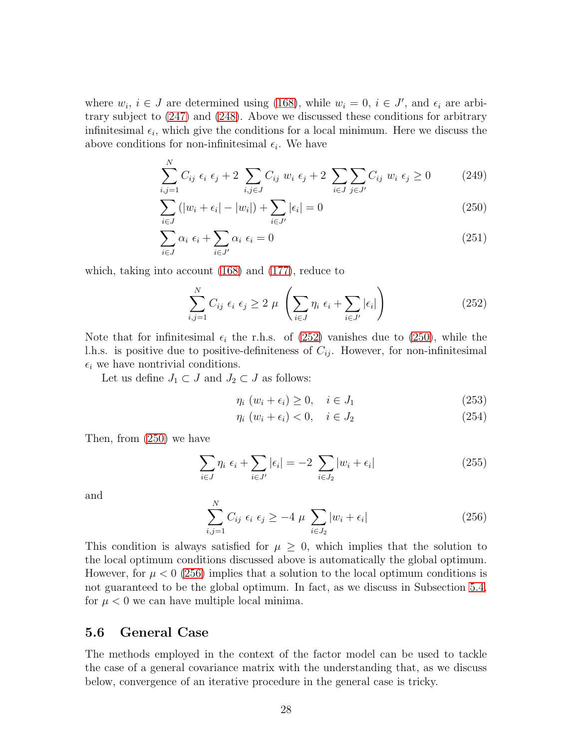where  $w_i$ ,  $i \in J$  are determined using [\(168\)](#page-20-0), while  $w_i = 0$ ,  $i \in J'$ , and  $\epsilon_i$  are arbitrary subject to [\(247\)](#page-27-2) and [\(248\)](#page-27-2). Above we discussed these conditions for arbitrary infinitesimal  $\epsilon_i$ , which give the conditions for a local minimum. Here we discuss the above conditions for non-infinitesimal  $\epsilon_i$ . We have

<span id="page-28-1"></span>
$$
\sum_{i,j=1}^{N} C_{ij} \epsilon_i \epsilon_j + 2 \sum_{i,j \in J} C_{ij} w_i \epsilon_j + 2 \sum_{i \in J} \sum_{j \in J'} C_{ij} w_i \epsilon_j \ge 0
$$
 (249)

$$
\sum_{i \in J} (|w_i + \epsilon_i| - |w_i|) + \sum_{i \in J'} |\epsilon_i| = 0
$$
\n(250)

$$
\sum_{i \in J} \alpha_i \epsilon_i + \sum_{i \in J'} \alpha_i \epsilon_i = 0 \tag{251}
$$

which, taking into account [\(168\)](#page-20-0) and [\(177\)](#page-21-5), reduce to

<span id="page-28-0"></span>
$$
\sum_{i,j=1}^{N} C_{ij} \epsilon_i \epsilon_j \ge 2 \mu \left( \sum_{i \in J} \eta_i \epsilon_i + \sum_{i \in J'} |\epsilon_i| \right) \tag{252}
$$

Note that for infinitesimal  $\epsilon_i$  the r.h.s. of [\(252\)](#page-28-0) vanishes due to [\(250\)](#page-28-1), while the l.h.s. is positive due to positive-definiteness of  $C_{ij}$ . However, for non-infinitesimal  $\epsilon_i$  we have nontrivial conditions.

Let us define  $J_1 \subset J$  and  $J_2 \subset J$  as follows:

$$
\eta_i \ (w_i + \epsilon_i) \ge 0, \quad i \in J_1 \tag{253}
$$

$$
\eta_i \ (w_i + \epsilon_i) < 0, \quad i \in J_2 \tag{254}
$$

Then, from [\(250\)](#page-28-1) we have

$$
\sum_{i \in J} \eta_i \epsilon_i + \sum_{i \in J'} |\epsilon_i| = -2 \sum_{i \in J_2} |w_i + \epsilon_i| \tag{255}
$$

and

<span id="page-28-2"></span>
$$
\sum_{i,j=1}^{N} C_{ij} \epsilon_i \epsilon_j \ge -4 \mu \sum_{i \in J_2} |w_i + \epsilon_i| \tag{256}
$$

This condition is always satisfied for  $\mu \geq 0$ , which implies that the solution to the local optimum conditions discussed above is automatically the global optimum. However, for  $\mu < 0$  [\(256\)](#page-28-2) implies that a solution to the local optimum conditions is not guaranteed to be the global optimum. In fact, as we discuss in Subsection [5.4,](#page-27-1) for  $\mu < 0$  we can have multiple local minima.

### 5.6 General Case

The methods employed in the context of the factor model can be used to tackle the case of a general covariance matrix with the understanding that, as we discuss below, convergence of an iterative procedure in the general case is tricky.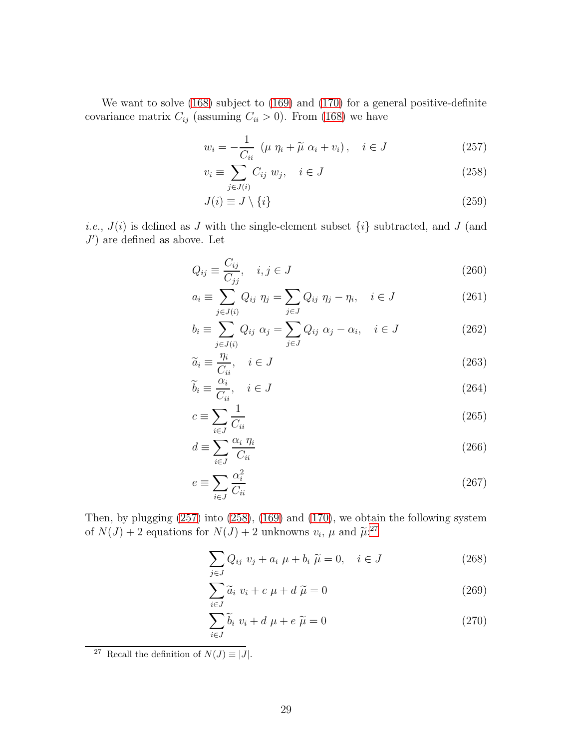We want to solve [\(168\)](#page-20-0) subject to [\(169\)](#page-20-0) and [\(170\)](#page-20-0) for a general positive-definite covariance matrix  $C_{ij}$  (assuming  $C_{ii} > 0$ ). From [\(168\)](#page-20-0) we have

<span id="page-29-0"></span>
$$
w_i = -\frac{1}{C_{ii}} \left( \mu \eta_i + \widetilde{\mu} \alpha_i + v_i \right), \quad i \in J \tag{257}
$$

$$
v_i \equiv \sum_{j \in J(i)} C_{ij} w_j, \quad i \in J \tag{258}
$$

$$
J(i) \equiv J \setminus \{i\} \tag{259}
$$

*i.e.*,  $J(i)$  is defined as J with the single-element subset  $\{i\}$  subtracted, and J (and  $J'$ ) are defined as above. Let

$$
Q_{ij} \equiv \frac{C_{ij}}{C_{jj}}, \quad i, j \in J \tag{260}
$$

$$
a_i \equiv \sum_{j \in J(i)} Q_{ij} \eta_j = \sum_{j \in J} Q_{ij} \eta_j - \eta_i, \quad i \in J \tag{261}
$$

$$
b_i \equiv \sum_{j \in J(i)} Q_{ij} \alpha_j = \sum_{j \in J} Q_{ij} \alpha_j - \alpha_i, \quad i \in J
$$
 (262)

$$
\widetilde{a}_i \equiv \frac{\eta_i}{C_{ii}}, \quad i \in J \tag{263}
$$

$$
\widetilde{b}_i \equiv \frac{\alpha_i}{C_{ii}}, \quad i \in J \tag{264}
$$

$$
c \equiv \sum_{i \in J} \frac{1}{C_{ii}} \tag{265}
$$

$$
d \equiv \sum_{i \in J} \frac{\alpha_i \ \eta_i}{C_{ii}} \tag{266}
$$

$$
e \equiv \sum_{i \in J} \frac{\alpha_i^2}{C_{ii}} \tag{267}
$$

Then, by plugging [\(257\)](#page-29-0) into [\(258\)](#page-29-0), [\(169\)](#page-20-0) and [\(170\)](#page-20-0), we obtain the following system of  $N(J) + 2$  equations for  $N(J) + 2$  unknowns  $v_i$ ,  $\mu$  and  $\tilde{\mu}:^{27}$  $\tilde{\mu}:^{27}$  $\tilde{\mu}:^{27}$ 

$$
\sum_{j\in J} Q_{ij} v_j + a_i \mu + b_i \tilde{\mu} = 0, \quad i \in J
$$
 (268)

$$
\sum_{i \in J} \tilde{a}_i \ v_i + c \ \mu + d \ \tilde{\mu} = 0 \tag{269}
$$

$$
\sum_{i \in J} \widetilde{b}_i \ v_i + d \ \mu + e \ \widetilde{\mu} = 0 \tag{270}
$$

<span id="page-29-1"></span><sup>&</sup>lt;sup>27</sup> Recall the definition of  $N(J) \equiv |J|$ .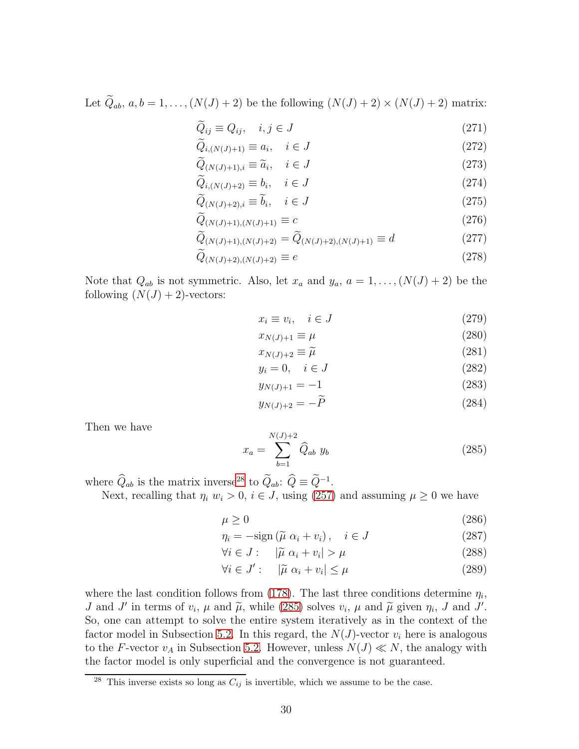Let  $\widetilde{Q}_{ab}$ ,  $a, b = 1, ..., (N(J) + 2)$  be the following  $(N(J) + 2) \times (N(J) + 2)$  matrix:

$$
\widetilde{Q}_{ij} \equiv Q_{ij}, \quad i, j \in J \tag{271}
$$

$$
\widetilde{Q}_{i,(N(J)+1)} \equiv a_i, \quad i \in J \tag{272}
$$

$$
Q_{(N(J)+1),i} \equiv \widetilde{a}_i, \quad i \in J \tag{273}
$$

$$
\widetilde{Q}_{i,(N(J)+2)} \equiv b_i, \quad i \in J \tag{274}
$$

$$
\overline{Q}_{(N(J)+2),i} \equiv b_i, \quad i \in J \tag{275}
$$

$$
\bar{Q}_{(N(J)+1),(N(J)+1)} \equiv c \tag{276}
$$

$$
\widetilde{Q}_{(N(J)+1),(N(J)+2)} = \widetilde{Q}_{(N(J)+2),(N(J)+1)} \equiv d \tag{277}
$$

$$
\bar{Q}_{(N(J)+2),(N(J)+2)} \equiv e \tag{278}
$$

Note that  $Q_{ab}$  is not symmetric. Also, let  $x_a$  and  $y_a$ ,  $a = 1, \ldots, (N(J) + 2)$  be the following  $(N(J) + 2)$ -vectors:

$$
x_i \equiv v_i, \quad i \in J \tag{279}
$$

$$
x_{N(J)+1} \equiv \mu \tag{280}
$$

$$
x_{N(J)+2} \equiv \widetilde{\mu} \tag{281}
$$

$$
y_i = 0, \quad i \in J \tag{282}
$$

$$
y_{N(J)+1} = -1 \tag{283}
$$

$$
y_{N(J)+2} = -P \tag{284}
$$

Then we have

<span id="page-30-1"></span>
$$
x_a = \sum_{b=1}^{N(J)+2} \hat{Q}_{ab} y_b \tag{285}
$$

where  $\hat{Q}_{ab}$  is the matrix inverse<sup>[28](#page-30-0)</sup> to  $\hat{Q}_{ab}$ :  $\hat{Q} \equiv \hat{Q}^{-1}$ .

Next, recalling that  $\eta_i w_i > 0$ ,  $i \in J$ , using [\(257\)](#page-29-0) and assuming  $\mu \geq 0$  we have

$$
\mu \ge 0 \tag{286}
$$

$$
\eta_i = -\text{sign}\left(\tilde{\mu}\ \alpha_i + v_i\right), \quad i \in J \tag{287}
$$

$$
\forall i \in J: \quad |\tilde{\mu} \alpha_i + v_i| > \mu \tag{288}
$$

$$
\forall i \in J': \quad |\tilde{\mu} \alpha_i + v_i| \le \mu \tag{289}
$$

where the last condition follows from [\(178\)](#page-21-3). The last three conditions determine  $\eta_i$ , J and J' in terms of  $v_i$ ,  $\mu$  and  $\tilde{\mu}$ , while [\(285\)](#page-30-1) solves  $v_i$ ,  $\mu$  and  $\tilde{\mu}$  given  $\eta_i$ , J and J'. So, one can attempt to solve the entire system iteratively as in the context of the factor model in Subsection [5.2.](#page-22-3) In this regard, the  $N(J)$ -vector  $v_i$  here is analogous to the F-vector  $v_A$  in Subsection [5.2.](#page-22-3) However, unless  $N(J) \ll N$ , the analogy with the factor model is only superficial and the convergence is not guaranteed.

<span id="page-30-0"></span><sup>&</sup>lt;sup>28</sup> This inverse exists so long as  $C_{ij}$  is invertible, which we assume to be the case.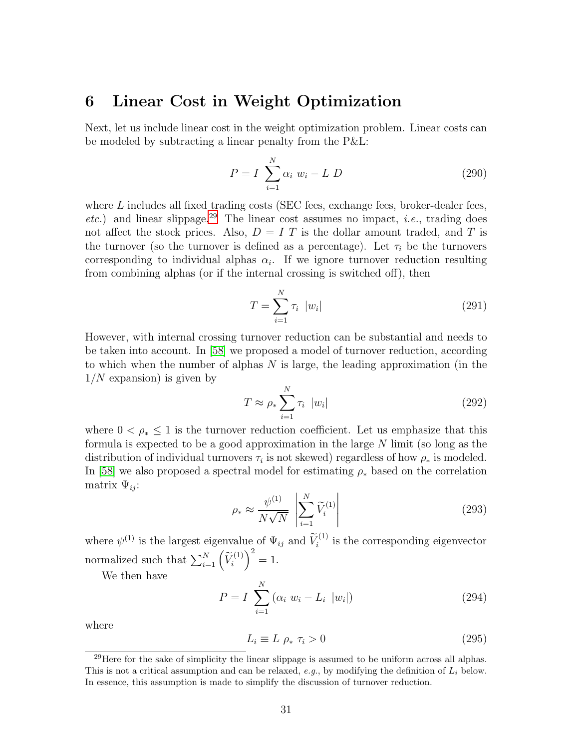# <span id="page-31-0"></span>6 Linear Cost in Weight Optimization

Next, let us include linear cost in the weight optimization problem. Linear costs can be modeled by subtracting a linear penalty from the P&L:

$$
P = I \sum_{i=1}^{N} \alpha_i w_i - L D
$$
 (290)

where  $L$  includes all fixed trading costs (SEC fees, exchange fees, broker-dealer fees, etc.) and linear slippage.<sup>[29](#page-31-1)</sup> The linear cost assumes no impact, *i.e.*, trading does not affect the stock prices. Also,  $D = I T$  is the dollar amount traded, and T is the turnover (so the turnover is defined as a percentage). Let  $\tau_i$  be the turnovers corresponding to individual alphas  $\alpha_i$ . If we ignore turnover reduction resulting from combining alphas (or if the internal crossing is switched off), then

$$
T = \sum_{i=1}^{N} \tau_i \ |w_i| \tag{291}
$$

However, with internal crossing turnover reduction can be substantial and needs to be taken into account. In [\[58\]](#page-41-2) we proposed a model of turnover reduction, according to which when the number of alphas  $N$  is large, the leading approximation (in the  $1/N$  expansion) is given by

<span id="page-31-3"></span>
$$
T \approx \rho_* \sum_{i=1}^{N} \tau_i \quad |w_i| \tag{292}
$$

where  $0 < \rho_* \leq 1$  is the turnover reduction coefficient. Let us emphasize that this formula is expected to be a good approximation in the large  $N$  limit (so long as the distribution of individual turnovers  $\tau_i$  is not skewed) regardless of how  $\rho_*$  is modeled. In [\[58\]](#page-41-2) we also proposed a spectral model for estimating  $\rho_*$  based on the correlation matrix  $\Psi_{ii}$ :

$$
\rho_* \approx \frac{\psi^{(1)}}{N\sqrt{N}} \left| \sum_{i=1}^N \widetilde{V}_i^{(1)} \right| \tag{293}
$$

where  $\psi^{(1)}$  is the largest eigenvalue of  $\Psi_{ij}$  and  $\widetilde{V}_i^{(1)}$  is the corresponding eigenvector normalized such that  $\sum_{i=1}^{N} \left(\widetilde{V}_i^{(1)}\right)$  $\big)^2 = 1.$ 

We then have

$$
P = I \sum_{i=1}^{N} (\alpha_i w_i - L_i |w_i|)
$$
 (294)

where

<span id="page-31-2"></span>
$$
L_i \equiv L \, \rho_* \, \tau_i > 0 \tag{295}
$$

<span id="page-31-1"></span> $^{29}$ Here for the sake of simplicity the linear slippage is assumed to be uniform across all alphas. This is not a critical assumption and can be relaxed, e.g., by modifying the definition of  $L_i$  below. In essence, this assumption is made to simplify the discussion of turnover reduction.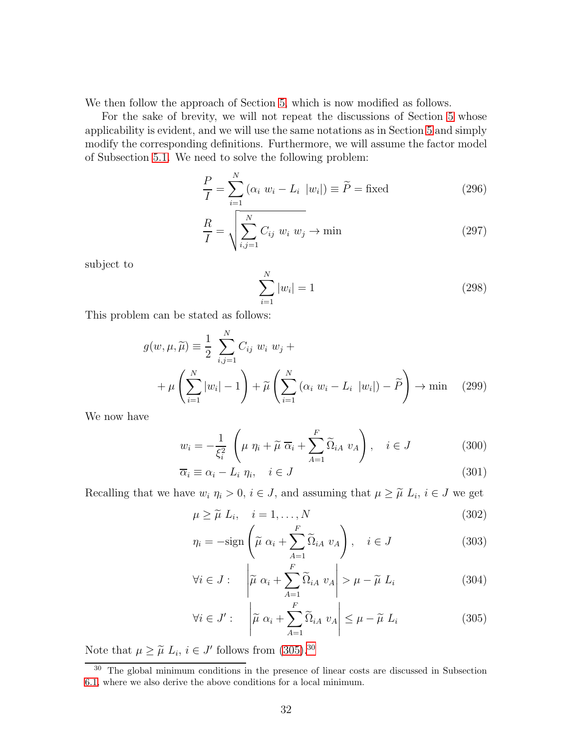We then follow the approach of Section [5,](#page-19-0) which is now modified as follows.

For the sake of brevity, we will not repeat the discussions of Section [5](#page-19-0) whose applicability is evident, and we will use the same notations as in Section [5](#page-19-0) and simply modify the corresponding definitions. Furthermore, we will assume the factor model of Subsection [5.1.](#page-22-4) We need to solve the following problem:

$$
\frac{P}{I} = \sum_{i=1}^{N} \left( \alpha_i \ w_i - L_i \ |w_i| \right) \equiv \widetilde{P} = \text{fixed}
$$
\n(296)

$$
\frac{R}{I} = \sqrt{\sum_{i,j=1}^{N} C_{ij} w_i w_j} \to \min
$$
\n(297)

subject to

$$
\sum_{i=1}^{N} |w_i| = 1 \tag{298}
$$

This problem can be stated as follows:

$$
g(w, \mu, \widetilde{\mu}) \equiv \frac{1}{2} \sum_{i,j=1}^{N} C_{ij} w_i w_j +
$$
  
+  $\mu \left( \sum_{i=1}^{N} |w_i| - 1 \right) + \widetilde{\mu} \left( \sum_{i=1}^{N} (\alpha_i w_i - L_i |w_i|) - \widetilde{P} \right) \to \min$  (299)

We now have

$$
w_i = -\frac{1}{\xi_i^2} \left( \mu \eta_i + \widetilde{\mu} \overline{\alpha}_i + \sum_{A=1}^F \widetilde{\Omega}_{iA} \ v_A \right), \quad i \in J \tag{300}
$$

$$
\overline{\alpha}_i \equiv \alpha_i - L_i \eta_i, \quad i \in J \tag{301}
$$

Recalling that we have  $w_i \eta_i > 0$ ,  $i \in J$ , and assuming that  $\mu \geq \tilde{\mu} L_i$ ,  $i \in J$  we get

<span id="page-32-0"></span>
$$
\mu \ge \widetilde{\mu} \ L_i, \quad i = 1, \dots, N \tag{302}
$$

$$
\eta_i = -\text{sign}\left(\tilde{\mu} \ \alpha_i + \sum_{A=1}^F \tilde{\Omega}_{iA} \ v_A\right), \quad i \in J \tag{303}
$$

$$
\forall i \in J : \quad \left| \widetilde{\mu} \alpha_i + \sum_{A=1}^{F} \widetilde{\Omega}_{iA} \ u_A \right| > \mu - \widetilde{\mu} \ L_i \tag{304}
$$

$$
\forall i \in J': \left| \widetilde{\mu} \alpha_i + \sum_{A=1}^{F} \widetilde{\Omega}_{iA} \ v_A \right| \leq \mu - \widetilde{\mu} \ L_i \tag{305}
$$

Note that  $\mu \geq \tilde{\mu} L_i, i \in J'$  follows from [\(305\)](#page-32-0).<sup>[30](#page-32-1)</sup>

<span id="page-32-1"></span><sup>30</sup> The global minimum conditions in the presence of linear costs are discussed in Subsection [6.1,](#page-33-0) where we also derive the above conditions for a local minimum.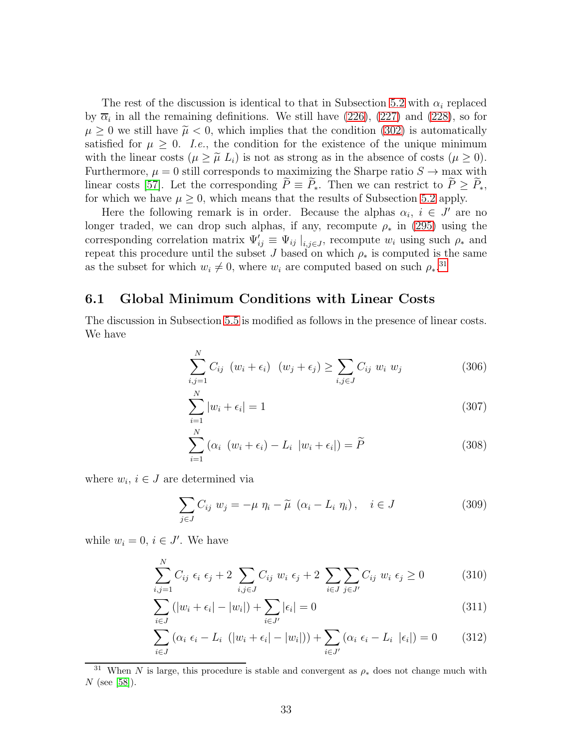The rest of the discussion is identical to that in Subsection [5.2](#page-22-3) with  $\alpha_i$  replaced by  $\overline{\alpha}_i$  in all the remaining definitions. We still have [\(226\)](#page-25-3), [\(227\)](#page-25-3) and [\(228\)](#page-25-3), so for  $\mu \geq 0$  we still have  $\tilde{\mu} < 0$ , which implies that the condition [\(302\)](#page-32-0) is automatically satisfied for  $\mu \geq 0$ . *I.e.*, the condition for the existence of the unique minimum with the linear costs  $(\mu \geq \tilde{\mu} L_i)$  is not as strong as in the absence of costs  $(\mu \geq 0)$ . Furthermore,  $\mu = 0$  still corresponds to maximizing the Sharpe ratio  $S \to \text{max}$  with linear costs [\[57\]](#page-41-0). Let the corresponding  $\widetilde{P} \equiv \widetilde{P}_*$ . Then we can restrict to  $\widetilde{P} \geq \widetilde{P}_*$ , for which we have  $\mu \geq 0$ , which means that the results of Subsection [5.2](#page-22-3) apply.

Here the following remark is in order. Because the alphas  $\alpha_i$ ,  $i \in J'$  are no longer traded, we can drop such alphas, if any, recompute  $\rho_*$  in [\(295\)](#page-31-2) using the corresponding correlation matrix  $\Psi'_{ij} \equiv \Psi_{ij} \mid_{i,j \in J}$ , recompute  $w_i$  using such  $\rho_*$  and repeat this procedure until the subset J based on which  $\rho_*$  is computed is the same as the subset for which  $w_i \neq 0$ , where  $w_i$  are computed based on such  $\rho_*$ <sup>[31](#page-33-1)</sup>

### <span id="page-33-0"></span>6.1 Global Minimum Conditions with Linear Costs

The discussion in Subsection [5.5](#page-27-0) is modified as follows in the presence of linear costs. We have

$$
\sum_{i,j=1}^{N} C_{ij} \left( w_i + \epsilon_i \right) \left( w_j + \epsilon_j \right) \ge \sum_{i,j \in J} C_{ij} \ w_i \ w_j \tag{306}
$$

$$
\sum_{i=1}^{N} |w_i + \epsilon_i| = 1 \tag{307}
$$

$$
\sum_{i=1}^{N} (\alpha_i \ (w_i + \epsilon_i) - L_i \ |w_i + \epsilon_i|) = \widetilde{P}
$$
\n(308)

where  $w_i, i \in J$  are determined via

<span id="page-33-2"></span>
$$
\sum_{j \in J} C_{ij} w_j = -\mu \eta_i - \widetilde{\mu} \left( \alpha_i - L_i \eta_i \right), \quad i \in J \tag{309}
$$

while  $w_i = 0, i \in J'$ . We have

 $\lambda$ <sup>T</sup>

$$
\sum_{i,j=1}^{N} C_{ij} \epsilon_i \epsilon_j + 2 \sum_{i,j \in J} C_{ij} w_i \epsilon_j + 2 \sum_{i \in J} \sum_{j \in J'} C_{ij} w_i \epsilon_j \ge 0
$$
 (310)

$$
\sum_{i \in J} (|w_i + \epsilon_i| - |w_i|) + \sum_{i \in J'} |\epsilon_i| = 0
$$
\n(311)

$$
\sum_{i\in J} \left( \alpha_i \epsilon_i - L_i \left( |w_i + \epsilon_i| - |w_i| \right) \right) + \sum_{i\in J'} \left( \alpha_i \epsilon_i - L_i \left| \epsilon_i \right| \right) = 0 \tag{312}
$$

<span id="page-33-1"></span><sup>&</sup>lt;sup>31</sup> When N is large, this procedure is stable and convergent as  $\rho_*$  does not change much with  $N$  (see [\[58\]](#page-41-2)).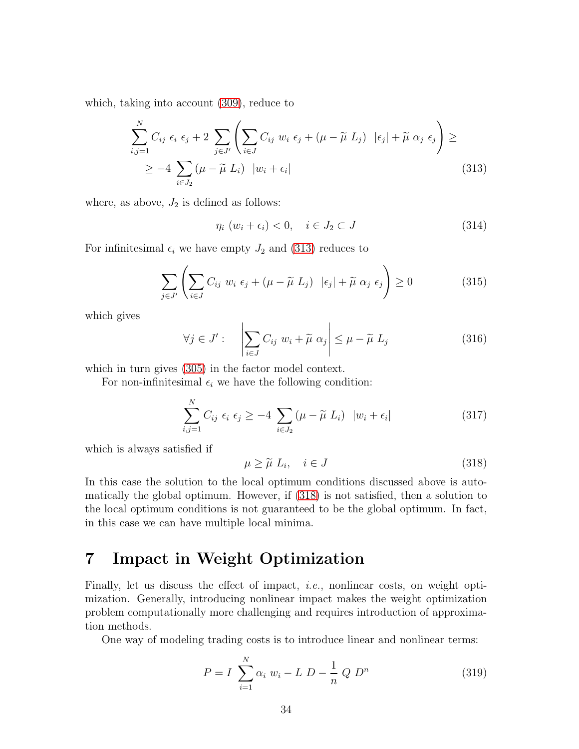which, taking into account [\(309\)](#page-33-2), reduce to

<span id="page-34-1"></span>
$$
\sum_{i,j=1}^{N} C_{ij} \epsilon_i \epsilon_j + 2 \sum_{j \in J'} \left( \sum_{i \in J} C_{ij} w_i \epsilon_j + (\mu - \widetilde{\mu} L_j) |\epsilon_j| + \widetilde{\mu} \alpha_j \epsilon_j \right) \ge
$$
  
 
$$
\ge -4 \sum_{i \in J_2} (\mu - \widetilde{\mu} L_i) |w_i + \epsilon_i|
$$
 (313)

where, as above,  $J_2$  is defined as follows:

$$
\eta_i \ (w_i + \epsilon_i) < 0, \quad i \in J_2 \subset J \tag{314}
$$

For infinitesimal  $\epsilon_i$  we have empty  $J_2$  and [\(313\)](#page-34-1) reduces to

$$
\sum_{j \in J'} \left( \sum_{i \in J} C_{ij} w_i \epsilon_j + (\mu - \tilde{\mu} L_j) |\epsilon_j| + \tilde{\mu} \alpha_j \epsilon_j \right) \ge 0 \tag{315}
$$

which gives

$$
\forall j \in J': \quad \left| \sum_{i \in J} C_{ij} \ w_i + \widetilde{\mu} \ \alpha_j \right| \le \mu - \widetilde{\mu} \ L_j \tag{316}
$$

which in turn gives [\(305\)](#page-32-0) in the factor model context.

For non-infinitesimal  $\epsilon_i$  we have the following condition:

$$
\sum_{i,j=1}^{N} C_{ij} \epsilon_i \epsilon_j \ge -4 \sum_{i \in J_2} (\mu - \widetilde{\mu} L_i) |w_i + \epsilon_i|
$$
 (317)

which is always satisfied if

<span id="page-34-2"></span>
$$
\mu \ge \tilde{\mu} L_i, \quad i \in J \tag{318}
$$

In this case the solution to the local optimum conditions discussed above is automatically the global optimum. However, if [\(318\)](#page-34-2) is not satisfied, then a solution to the local optimum conditions is not guaranteed to be the global optimum. In fact, in this case we can have multiple local minima.

# <span id="page-34-0"></span>7 Impact in Weight Optimization

Finally, let us discuss the effect of impact, i.e., nonlinear costs, on weight optimization. Generally, introducing nonlinear impact makes the weight optimization problem computationally more challenging and requires introduction of approximation methods.

One way of modeling trading costs is to introduce linear and nonlinear terms:

$$
P = I \sum_{i=1}^{N} \alpha_i w_i - L D - \frac{1}{n} Q D^n
$$
 (319)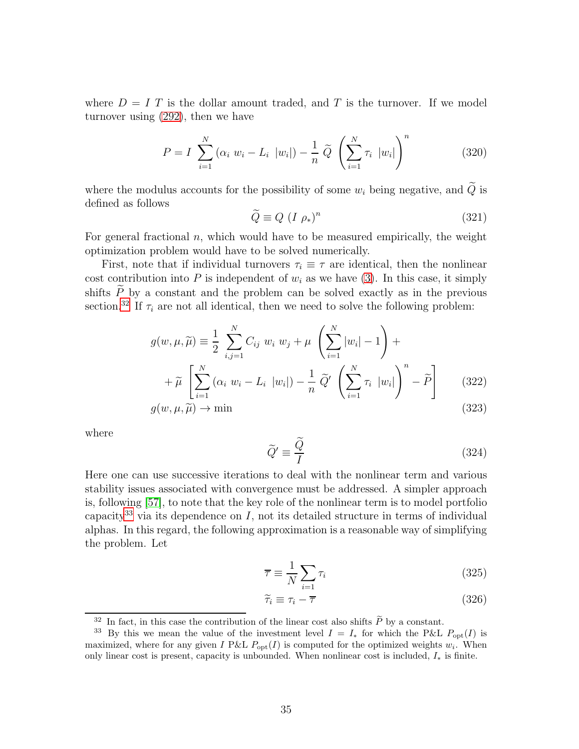where  $D = I$  T is the dollar amount traded, and T is the turnover. If we model turnover using [\(292\)](#page-31-3), then we have

$$
P = I \sum_{i=1}^{N} (\alpha_i w_i - L_i |w_i|) - \frac{1}{n} \widetilde{Q} \left( \sum_{i=1}^{N} \tau_i |w_i| \right)^n
$$
 (320)

where the modulus accounts for the possibility of some  $w_i$  being negative, and  $\widetilde{Q}$  is defined as follows

$$
\widetilde{Q} \equiv Q \ (I \ \rho_*)^n \tag{321}
$$

For general fractional  $n$ , which would have to be measured empirically, the weight optimization problem would have to be solved numerically.

First, note that if individual turnovers  $\tau_i \equiv \tau$  are identical, then the nonlinear cost contribution into P is independent of  $w_i$  as we have [\(3\)](#page-2-2). In this case, it simply shifts  $\widetilde{P}$  by a constant and the problem can be solved exactly as in the previous section.<sup>[32](#page-35-0)</sup> If  $\tau_i$  are not all identical, then we need to solve the following problem:

$$
g(w, \mu, \widetilde{\mu}) \equiv \frac{1}{2} \sum_{i,j=1}^{N} C_{ij} w_i w_j + \mu \left( \sum_{i=1}^{N} |w_i| - 1 \right) +
$$
  
+ 
$$
\widetilde{\mu} \left[ \sum_{i=1}^{N} (\alpha_i w_i - L_i |w_i|) - \frac{1}{n} \widetilde{Q}' \left( \sum_{i=1}^{N} \tau_i |w_i| \right)^n - \widetilde{P} \right]
$$
(322)  

$$
g(w, \mu, \widetilde{\mu}) \to \min
$$
(323)

$$
g(w, \mu, \tilde{\mu}) \to \min \tag{323}
$$

where

$$
\widetilde{Q}' \equiv \frac{\widetilde{Q}}{I} \tag{324}
$$

Here one can use successive iterations to deal with the nonlinear term and various stability issues associated with convergence must be addressed. A simpler approach is, following [\[57\]](#page-41-0), to note that the key role of the nonlinear term is to model portfolio capacity<sup>[33](#page-35-1)</sup> via its dependence on I, not its detailed structure in terms of individual alphas. In this regard, the following approximation is a reasonable way of simplifying the problem. Let

$$
\overline{\tau} \equiv \frac{1}{N} \sum_{i=1} \tau_i
$$
\n(325)

$$
\widetilde{\tau}_i \equiv \tau_i - \overline{\tau} \tag{326}
$$

<sup>&</sup>lt;sup>32</sup> In fact, in this case the contribution of the linear cost also shifts  $\widetilde{P}$  by a constant.

<span id="page-35-1"></span><span id="page-35-0"></span><sup>&</sup>lt;sup>33</sup> By this we mean the value of the investment level  $I = I_*$  for which the P&L  $P_{\text{opt}}(I)$  is maximized, where for any given I P&L  $P_{opt}(I)$  is computed for the optimized weights  $w_i$ . When only linear cost is present, capacity is unbounded. When nonlinear cost is included,  $I_*$  is finite.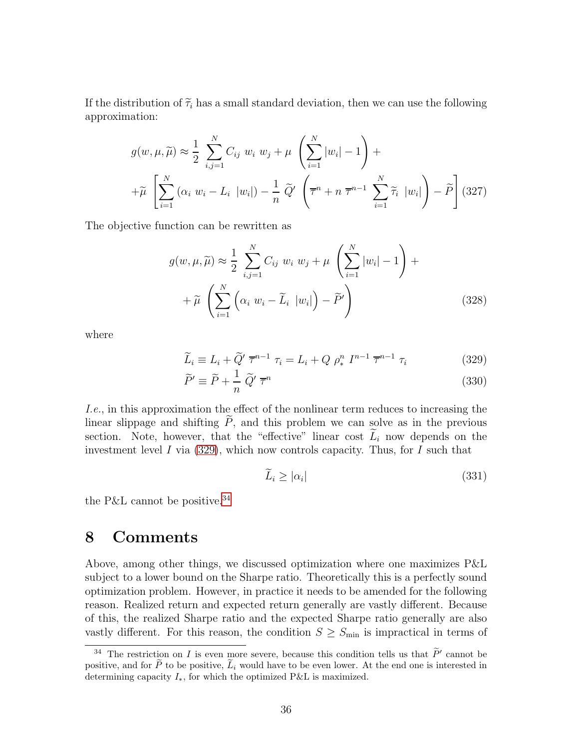If the distribution of  $\tilde{\tau}_i$  has a small standard deviation, then we can use the following approximation:

$$
g(w, \mu, \widetilde{\mu}) \approx \frac{1}{2} \sum_{i,j=1}^{N} C_{ij} w_i w_j + \mu \left( \sum_{i=1}^{N} |w_i| - 1 \right) +
$$
  
+
$$
\widetilde{\mu} \left[ \sum_{i=1}^{N} (\alpha_i w_i - L_i |w_i|) - \frac{1}{n} \widetilde{Q}' \left( \overline{\tau}^n + n \overline{\tau}^{n-1} \sum_{i=1}^{N} \widetilde{\tau}_i |w_i| \right) - \widetilde{P} \right] (327)
$$

The objective function can be rewritten as

$$
g(w, \mu, \widetilde{\mu}) \approx \frac{1}{2} \sum_{i,j=1}^{N} C_{ij} w_i w_j + \mu \left( \sum_{i=1}^{N} |w_i| - 1 \right) +
$$
  
+  $\widetilde{\mu} \left( \sum_{i=1}^{N} \left( \alpha_i w_i - \widetilde{L}_i |w_i| \right) - \widetilde{P}' \right)$  (328)

where

<span id="page-36-1"></span>
$$
\widetilde{L}_i \equiv L_i + \widetilde{Q}' \overline{\tau}^{n-1} \tau_i = L_i + Q \rho_*^n I^{n-1} \overline{\tau}^{n-1} \tau_i
$$
\n(329)

$$
\widetilde{P}' \equiv \widetilde{P} + \frac{1}{n} \widetilde{Q}' \overline{\tau}^n \tag{330}
$$

I.e., in this approximation the effect of the nonlinear term reduces to increasing the linear slippage and shifting  $\tilde{P}$ , and this problem we can solve as in the previous section. Note, however, that the "effective" linear cost  $L_i$  now depends on the investment level I via [\(329\)](#page-36-1), which now controls capacity. Thus, for I such that

$$
\tilde{L}_i \ge |\alpha_i| \tag{331}
$$

<span id="page-36-0"></span>the P&L cannot be positive.<sup>[34](#page-36-2)</sup>

## 8 Comments

Above, among other things, we discussed optimization where one maximizes P&L subject to a lower bound on the Sharpe ratio. Theoretically this is a perfectly sound optimization problem. However, in practice it needs to be amended for the following reason. Realized return and expected return generally are vastly different. Because of this, the realized Sharpe ratio and the expected Sharpe ratio generally are also vastly different. For this reason, the condition  $S \geq S_{\text{min}}$  is impractical in terms of

<span id="page-36-2"></span><sup>&</sup>lt;sup>34</sup> The restriction on *I* is even more severe, because this condition tells us that  $\tilde{P}'$  cannot be positive, and for  $\tilde{P}$  to be positive,  $\tilde{L}_i$  would have to be even lower. At the end one is interested in determining capacity  $I_*,$  for which the optimized P&L is maximized.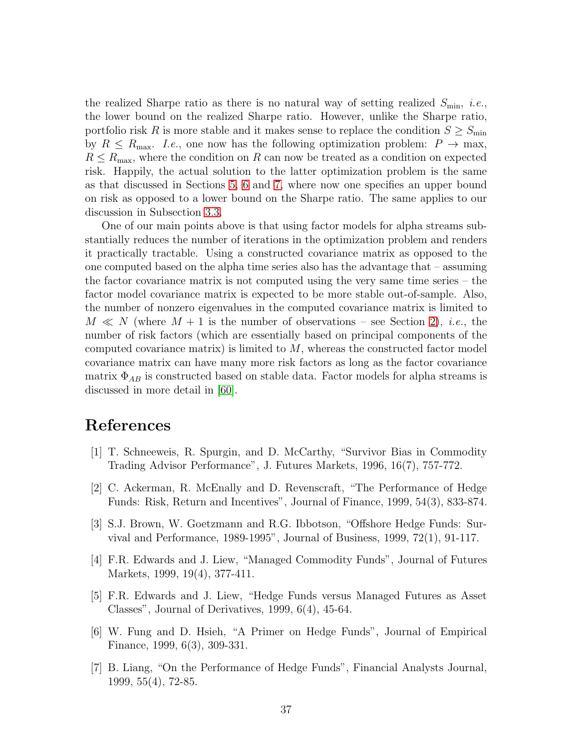the realized Sharpe ratio as there is no natural way of setting realized  $S_{\text{min}}$ , *i.e.*, the lower bound on the realized Sharpe ratio. However, unlike the Sharpe ratio, portfolio risk R is more stable and it makes sense to replace the condition  $S \geq S_{\min}$ by  $R \le R_{\text{max}}$ . I.e., one now has the following optimization problem:  $P \to \text{max}$ ,  $R \le R_{\text{max}}$ , where the condition on R can now be treated as a condition on expected risk. Happily, the actual solution to the latter optimization problem is the same as that discussed in Sections [5,](#page-19-0) [6](#page-31-0) and [7,](#page-34-0) where now one specifies an upper bound on risk as opposed to a lower bound on the Sharpe ratio. The same applies to our discussion in Subsection [3.3.](#page-16-0)

One of our main points above is that using factor models for alpha streams substantially reduces the number of iterations in the optimization problem and renders it practically tractable. Using a constructed covariance matrix as opposed to the one computed based on the alpha time series also has the advantage that – assuming the factor covariance matrix is not computed using the very same time series – the factor model covariance matrix is expected to be more stable out-of-sample. Also, the number of nonzero eigenvalues in the computed covariance matrix is limited to  $M \ll N$  (where  $M + 1$  is the number of observations – see Section [2\)](#page-2-1), *i.e.*, the number of risk factors (which are essentially based on principal components of the computed covariance matrix) is limited to  $M$ , whereas the constructed factor model covariance matrix can have many more risk factors as long as the factor covariance matrix  $\Phi_{AB}$  is constructed based on stable data. Factor models for alpha streams is discussed in more detail in [\[60\]](#page-41-4).

# <span id="page-37-0"></span>References

- [1] T. Schneeweis, R. Spurgin, and D. McCarthy, "Survivor Bias in Commodity Trading Advisor Performance", J. Futures Markets, 1996, 16(7), 757-772.
- [2] C. Ackerman, R. McEnally and D. Revenscraft, "The Performance of Hedge Funds: Risk, Return and Incentives", Journal of Finance, 1999, 54(3), 833-874.
- [3] S.J. Brown, W. Goetzmann and R.G. Ibbotson, "Offshore Hedge Funds: Survival and Performance, 1989-1995", Journal of Business, 1999, 72(1), 91-117.
- [4] F.R. Edwards and J. Liew, "Managed Commodity Funds", Journal of Futures Markets, 1999, 19(4), 377-411.
- [5] F.R. Edwards and J. Liew, "Hedge Funds versus Managed Futures as Asset Classes", Journal of Derivatives, 1999, 6(4), 45-64.
- [6] W. Fung and D. Hsieh, "A Primer on Hedge Funds", Journal of Empirical Finance, 1999, 6(3), 309-331.
- [7] B. Liang, "On the Performance of Hedge Funds", Financial Analysts Journal, 1999, 55(4), 72-85.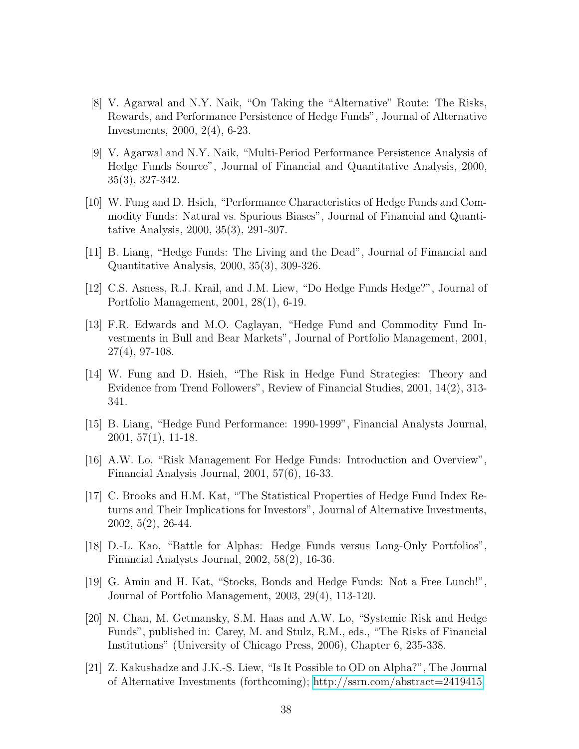- [8] V. Agarwal and N.Y. Naik, "On Taking the "Alternative" Route: The Risks, Rewards, and Performance Persistence of Hedge Funds", Journal of Alternative Investments, 2000, 2(4), 6-23.
- [9] V. Agarwal and N.Y. Naik, "Multi-Period Performance Persistence Analysis of Hedge Funds Source", Journal of Financial and Quantitative Analysis, 2000, 35(3), 327-342.
- [10] W. Fung and D. Hsieh, "Performance Characteristics of Hedge Funds and Commodity Funds: Natural vs. Spurious Biases", Journal of Financial and Quantitative Analysis, 2000, 35(3), 291-307.
- [11] B. Liang, "Hedge Funds: The Living and the Dead", Journal of Financial and Quantitative Analysis, 2000, 35(3), 309-326.
- [12] C.S. Asness, R.J. Krail, and J.M. Liew, "Do Hedge Funds Hedge?", Journal of Portfolio Management, 2001, 28(1), 6-19.
- [13] F.R. Edwards and M.O. Caglayan, "Hedge Fund and Commodity Fund Investments in Bull and Bear Markets", Journal of Portfolio Management, 2001, 27(4), 97-108.
- [14] W. Fung and D. Hsieh, "The Risk in Hedge Fund Strategies: Theory and Evidence from Trend Followers", Review of Financial Studies, 2001, 14(2), 313- 341.
- [15] B. Liang, "Hedge Fund Performance: 1990-1999", Financial Analysts Journal, 2001, 57(1), 11-18.
- [16] A.W. Lo, "Risk Management For Hedge Funds: Introduction and Overview", Financial Analysis Journal, 2001, 57(6), 16-33.
- [17] C. Brooks and H.M. Kat, "The Statistical Properties of Hedge Fund Index Returns and Their Implications for Investors", Journal of Alternative Investments, 2002, 5(2), 26-44.
- [18] D.-L. Kao, "Battle for Alphas: Hedge Funds versus Long-Only Portfolios", Financial Analysts Journal, 2002, 58(2), 16-36.
- [19] G. Amin and H. Kat, "Stocks, Bonds and Hedge Funds: Not a Free Lunch!", Journal of Portfolio Management, 2003, 29(4), 113-120.
- <span id="page-38-0"></span>[20] N. Chan, M. Getmansky, S.M. Haas and A.W. Lo, "Systemic Risk and Hedge Funds", published in: Carey, M. and Stulz, R.M., eds., "The Risks of Financial Institutions" (University of Chicago Press, 2006), Chapter 6, 235-338.
- <span id="page-38-1"></span>[21] Z. Kakushadze and J.K.-S. Liew, "Is It Possible to OD on Alpha?", The Journal of Alternative Investments (forthcoming); [http://ssrn.com/abstract=2419415.](http://ssrn.com/abstract=2419415)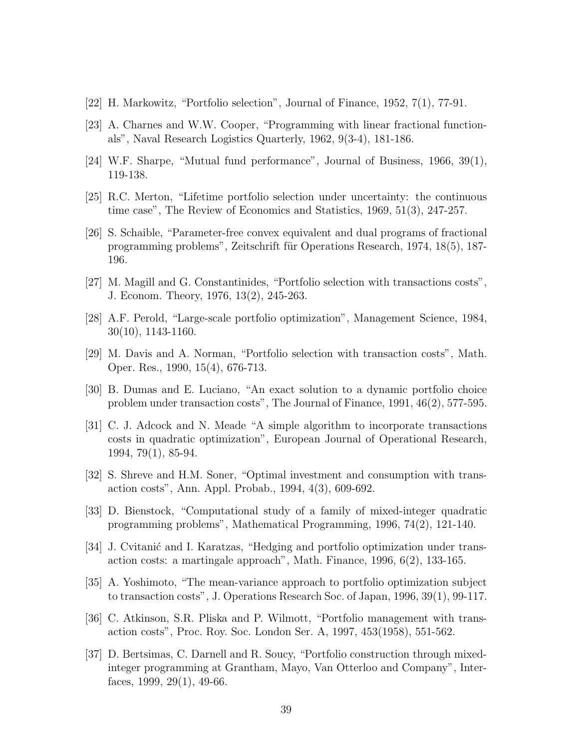- <span id="page-39-0"></span>[22] H. Markowitz, "Portfolio selection", Journal of Finance, 1952, 7(1), 77-91.
- [23] A. Charnes and W.W. Cooper, "Programming with linear fractional functionals", Naval Research Logistics Quarterly, 1962, 9(3-4), 181-186.
- [24] W.F. Sharpe, "Mutual fund performance", Journal of Business, 1966, 39(1), 119-138.
- [25] R.C. Merton, "Lifetime portfolio selection under uncertainty: the continuous time case", The Review of Economics and Statistics, 1969, 51(3), 247-257.
- [26] S. Schaible, "Parameter-free convex equivalent and dual programs of fractional programming problems", Zeitschrift für Operations Research, 1974, 18(5), 187-196.
- [27] M. Magill and G. Constantinides, "Portfolio selection with transactions costs", J. Econom. Theory, 1976, 13(2), 245-263.
- [28] A.F. Perold, "Large-scale portfolio optimization", Management Science, 1984, 30(10), 1143-1160.
- [29] M. Davis and A. Norman, "Portfolio selection with transaction costs", Math. Oper. Res., 1990, 15(4), 676-713.
- [30] B. Dumas and E. Luciano, "An exact solution to a dynamic portfolio choice problem under transaction costs", The Journal of Finance, 1991, 46(2), 577-595.
- [31] C. J. Adcock and N. Meade "A simple algorithm to incorporate transactions costs in quadratic optimization", European Journal of Operational Research, 1994, 79(1), 85-94.
- [32] S. Shreve and H.M. Soner, "Optimal investment and consumption with transaction costs", Ann. Appl. Probab., 1994, 4(3), 609-692.
- [33] D. Bienstock, "Computational study of a family of mixed-integer quadratic programming problems", Mathematical Programming, 1996, 74(2), 121-140.
- [34] J. Cvitanić and I. Karatzas, "Hedging and portfolio optimization under transaction costs: a martingale approach", Math. Finance, 1996, 6(2), 133-165.
- [35] A. Yoshimoto, "The mean-variance approach to portfolio optimization subject to transaction costs", J. Operations Research Soc. of Japan, 1996, 39(1), 99-117.
- [36] C. Atkinson, S.R. Pliska and P. Wilmott, "Portfolio management with transaction costs", Proc. Roy. Soc. London Ser. A, 1997, 453(1958), 551-562.
- [37] D. Bertsimas, C. Darnell and R. Soucy, "Portfolio construction through mixedinteger programming at Grantham, Mayo, Van Otterloo and Company", Interfaces, 1999, 29(1), 49-66.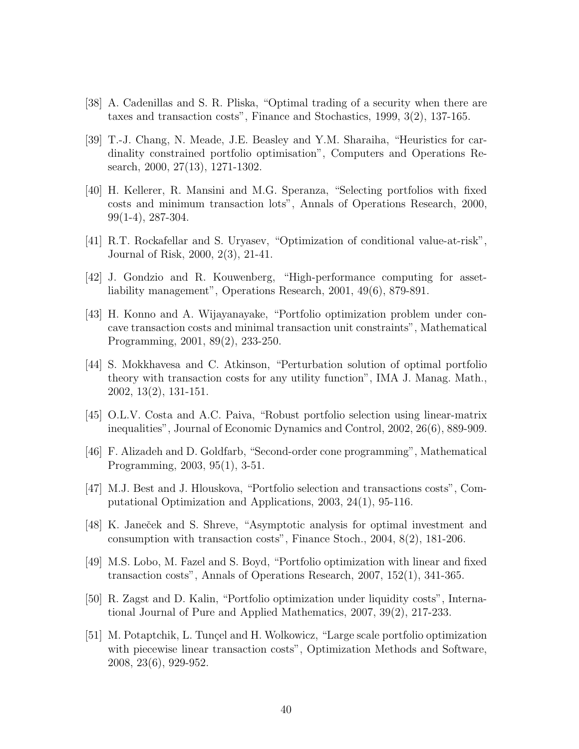- [38] A. Cadenillas and S. R. Pliska, "Optimal trading of a security when there are taxes and transaction costs", Finance and Stochastics, 1999, 3(2), 137-165.
- [39] T.-J. Chang, N. Meade, J.E. Beasley and Y.M. Sharaiha, "Heuristics for cardinality constrained portfolio optimisation", Computers and Operations Research, 2000, 27(13), 1271-1302.
- [40] H. Kellerer, R. Mansini and M.G. Speranza, "Selecting portfolios with fixed costs and minimum transaction lots", Annals of Operations Research, 2000, 99(1-4), 287-304.
- [41] R.T. Rockafellar and S. Uryasev, "Optimization of conditional value-at-risk", Journal of Risk, 2000, 2(3), 21-41.
- [42] J. Gondzio and R. Kouwenberg, "High-performance computing for assetliability management", Operations Research, 2001, 49(6), 879-891.
- [43] H. Konno and A. Wijayanayake, "Portfolio optimization problem under concave transaction costs and minimal transaction unit constraints", Mathematical Programming, 2001, 89(2), 233-250.
- [44] S. Mokkhavesa and C. Atkinson, "Perturbation solution of optimal portfolio theory with transaction costs for any utility function", IMA J. Manag. Math., 2002, 13(2), 131-151.
- [45] O.L.V. Costa and A.C. Paiva, "Robust portfolio selection using linear-matrix inequalities", Journal of Economic Dynamics and Control, 2002, 26(6), 889-909.
- [46] F. Alizadeh and D. Goldfarb, "Second-order cone programming", Mathematical Programming, 2003, 95(1), 3-51.
- [47] M.J. Best and J. Hlouskova, "Portfolio selection and transactions costs", Computational Optimization and Applications, 2003, 24(1), 95-116.
- [48] K. Janeček and S. Shreve, "Asymptotic analysis for optimal investment and consumption with transaction costs", Finance Stoch., 2004, 8(2), 181-206.
- [49] M.S. Lobo, M. Fazel and S. Boyd, "Portfolio optimization with linear and fixed transaction costs", Annals of Operations Research, 2007, 152(1), 341-365.
- [50] R. Zagst and D. Kalin, "Portfolio optimization under liquidity costs", International Journal of Pure and Applied Mathematics, 2007, 39(2), 217-233.
- [51] M. Potaptchik, L. Tunçel and H. Wolkowicz, "Large scale portfolio optimization" with piecewise linear transaction costs", Optimization Methods and Software, 2008, 23(6), 929-952.